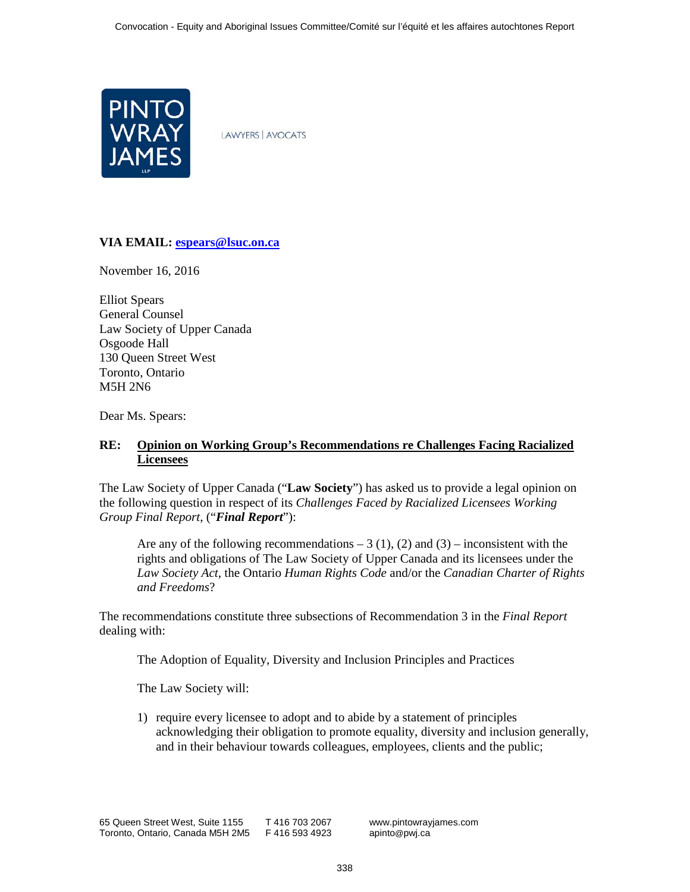

**LAWYERS | AVOCATS** 

## **VIA EMAIL: [espears@lsuc.on.ca](mailto:espears@lsuc.on.ca)**

November 16, 2016

Elliot Spears General Counsel Law Society of Upper Canada Osgoode Hall 130 Queen Street West Toronto, Ontario M5H 2N6

Dear Ms. Spears:

# **RE: Opinion on Working Group's Recommendations re Challenges Facing Racialized Licensees**

The Law Society of Upper Canada ("**Law Society**") has asked us to provide a legal opinion on the following question in respect of its *Challenges Faced by Racialized Licensees Working Group Final Report*, ("*Final Report*"):

Are any of the following recommendations  $-3(1)$ , (2) and (3) – inconsistent with the rights and obligations of The Law Society of Upper Canada and its licensees under the *Law Society Act*, the Ontario *Human Rights Code* and/or the *Canadian Charter of Rights and Freedoms*?

The recommendations constitute three subsections of Recommendation 3 in the *Final Report* dealing with:

The Adoption of Equality, Diversity and Inclusion Principles and Practices

The Law Society will:

1) require every licensee to adopt and to abide by a statement of principles acknowledging their obligation to promote equality, diversity and inclusion generally, and in their behaviour towards colleagues, employees, clients and the public;

www.pintowrayjames.com apinto@pwj.ca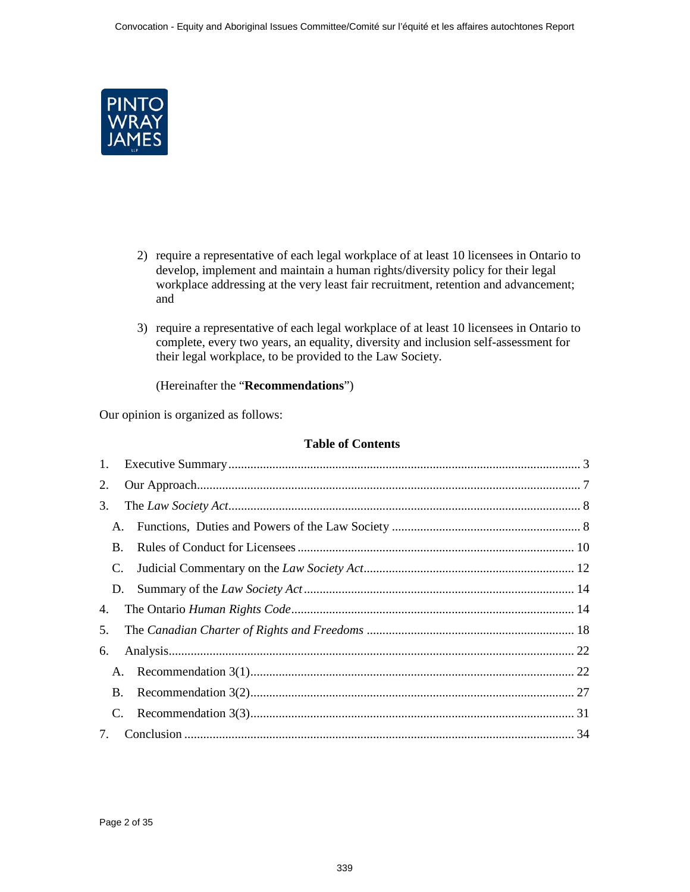

- 2) require a representative of each legal workplace of at least 10 licensees in Ontario to develop, implement and maintain a human rights/diversity policy for their legal workplace addressing at the very least fair recruitment, retention and advancement; and
- 3) require a representative of each legal workplace of at least 10 licensees in Ontario to complete, every two years, an equality, diversity and inclusion self-assessment for their legal workplace, to be provided to the Law Society.

(Hereinafter the "**Recommendations**")

Our opinion is organized as follows:

## **Table of Contents**

| 2. |           |  |
|----|-----------|--|
| 3. |           |  |
| A. |           |  |
|    | <b>B.</b> |  |
| C. |           |  |
|    | D.        |  |
| 4. |           |  |
| 5. |           |  |
| 6. |           |  |
|    |           |  |
|    |           |  |
| C. |           |  |
| 7. |           |  |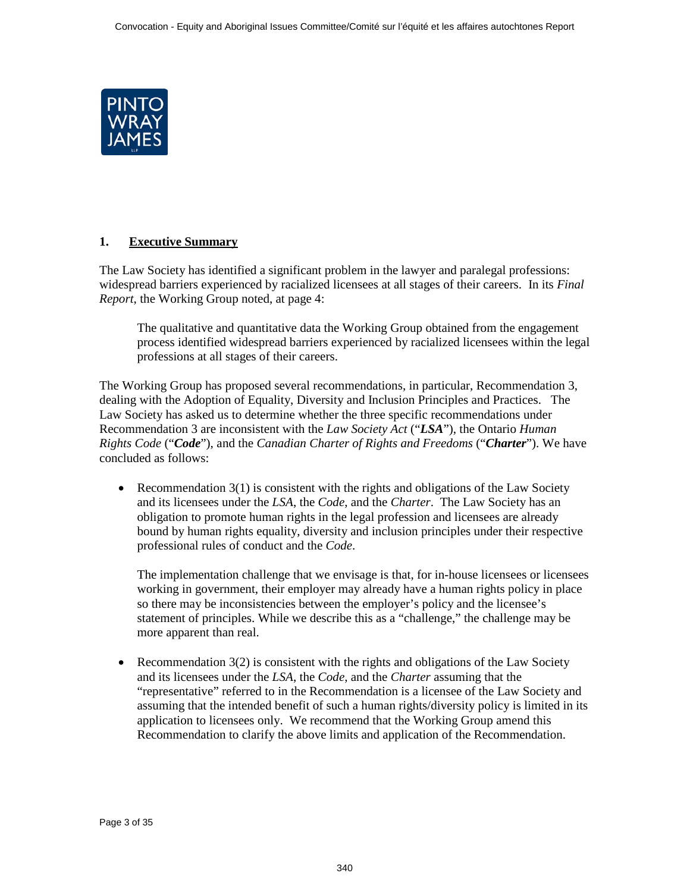<span id="page-2-0"></span>

# **1. Executive Summary**

The Law Society has identified a significant problem in the lawyer and paralegal professions: widespread barriers experienced by racialized licensees at all stages of their careers. In its *Final Report*, the Working Group noted, at page 4:

The qualitative and quantitative data the Working Group obtained from the engagement process identified widespread barriers experienced by racialized licensees within the legal professions at all stages of their careers.

The Working Group has proposed several recommendations, in particular, Recommendation 3, dealing with the Adoption of Equality, Diversity and Inclusion Principles and Practices. The Law Society has asked us to determine whether the three specific recommendations under Recommendation 3 are inconsistent with the *Law Society Act* ("*LSA*"), the Ontario *Human Rights Code* ("*Code*"), and the *Canadian Charter of Rights and Freedoms* ("*Charter*"). We have concluded as follows:

• Recommendation  $3(1)$  is consistent with the rights and obligations of the Law Society and its licensees under the *LSA*, the *Code*, and the *Charter*. The Law Society has an obligation to promote human rights in the legal profession and licensees are already bound by human rights equality, diversity and inclusion principles under their respective professional rules of conduct and the *Code*.

The implementation challenge that we envisage is that, for in-house licensees or licensees working in government, their employer may already have a human rights policy in place so there may be inconsistencies between the employer's policy and the licensee's statement of principles. While we describe this as a "challenge," the challenge may be more apparent than real.

Recommendation  $3(2)$  is consistent with the rights and obligations of the Law Society and its licensees under the *LSA*, the *Code*, and the *Charter* assuming that the "representative" referred to in the Recommendation is a licensee of the Law Society and assuming that the intended benefit of such a human rights/diversity policy is limited in its application to licensees only. We recommend that the Working Group amend this Recommendation to clarify the above limits and application of the Recommendation.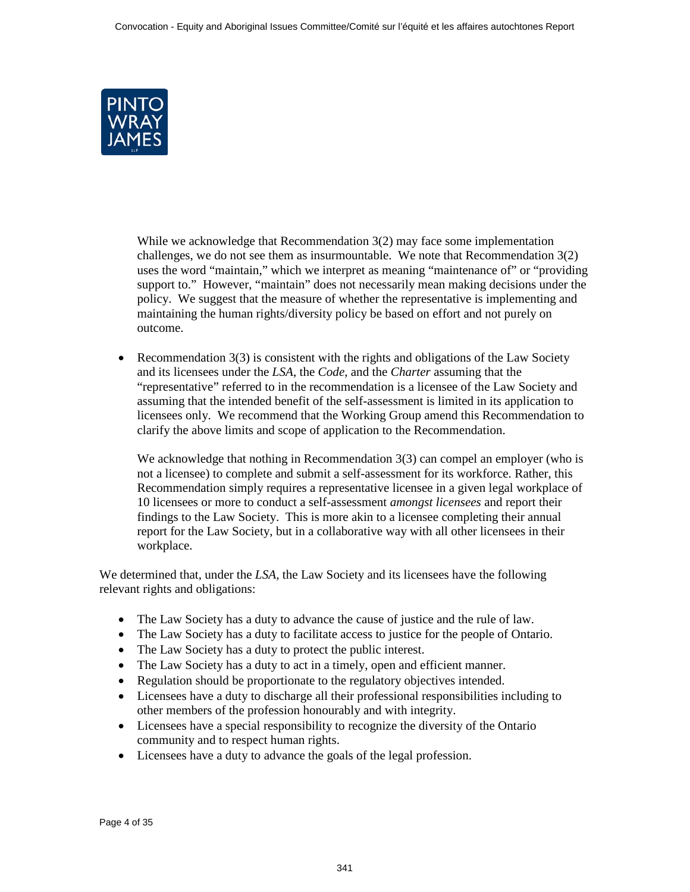

While we acknowledge that Recommendation 3(2) may face some implementation challenges, we do not see them as insurmountable. We note that Recommendation  $3(2)$ uses the word "maintain," which we interpret as meaning "maintenance of" or "providing support to." However, "maintain" does not necessarily mean making decisions under the policy. We suggest that the measure of whether the representative is implementing and maintaining the human rights/diversity policy be based on effort and not purely on outcome.

• Recommendation  $3(3)$  is consistent with the rights and obligations of the Law Society and its licensees under the *LSA*, the *Code*, and the *Charter* assuming that the "representative" referred to in the recommendation is a licensee of the Law Society and assuming that the intended benefit of the self-assessment is limited in its application to licensees only. We recommend that the Working Group amend this Recommendation to clarify the above limits and scope of application to the Recommendation.

We acknowledge that nothing in Recommendation 3(3) can compel an employer (who is not a licensee) to complete and submit a self-assessment for its workforce. Rather, this Recommendation simply requires a representative licensee in a given legal workplace of 10 licensees or more to conduct a self-assessment *amongst licensees* and report their findings to the Law Society. This is more akin to a licensee completing their annual report for the Law Society, but in a collaborative way with all other licensees in their workplace.

We determined that, under the *LSA*, the Law Society and its licensees have the following relevant rights and obligations:

- The Law Society has a duty to advance the cause of justice and the rule of law.
- The Law Society has a duty to facilitate access to justice for the people of Ontario.
- The Law Society has a duty to protect the public interest.
- The Law Society has a duty to act in a timely, open and efficient manner.
- Regulation should be proportionate to the regulatory objectives intended.
- Licensees have a duty to discharge all their professional responsibilities including to other members of the profession honourably and with integrity.
- Licensees have a special responsibility to recognize the diversity of the Ontario community and to respect human rights.
- Licensees have a duty to advance the goals of the legal profession.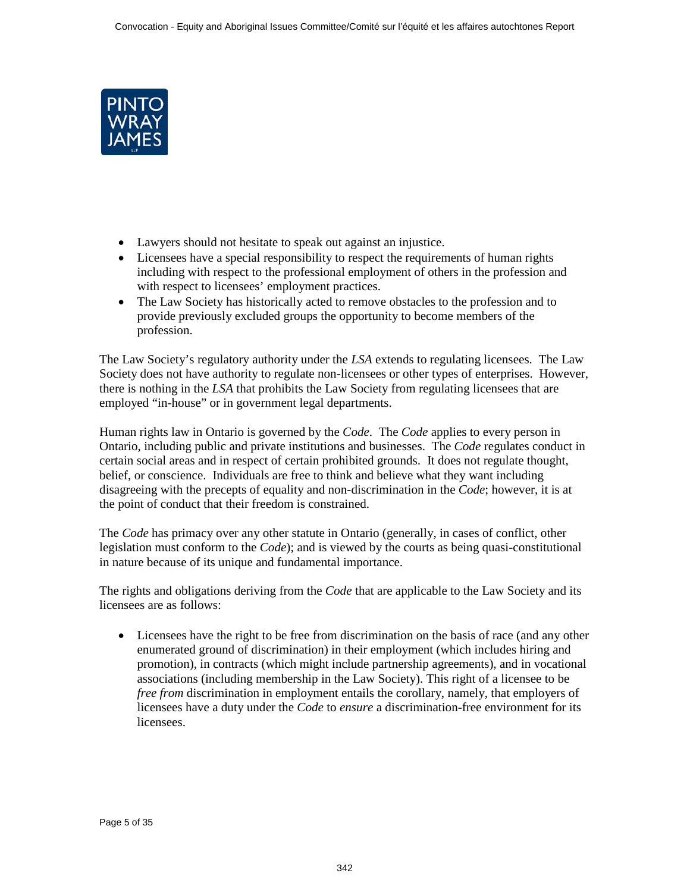

- Lawyers should not hesitate to speak out against an injustice.
- Licensees have a special responsibility to respect the requirements of human rights including with respect to the professional employment of others in the profession and with respect to licensees' employment practices.
- The Law Society has historically acted to remove obstacles to the profession and to provide previously excluded groups the opportunity to become members of the profession.

The Law Society's regulatory authority under the *LSA* extends to regulating licensees. The Law Society does not have authority to regulate non-licensees or other types of enterprises. However, there is nothing in the *LSA* that prohibits the Law Society from regulating licensees that are employed "in-house" or in government legal departments.

Human rights law in Ontario is governed by the *Code*. The *Code* applies to every person in Ontario, including public and private institutions and businesses. The *Code* regulates conduct in certain social areas and in respect of certain prohibited grounds. It does not regulate thought, belief, or conscience. Individuals are free to think and believe what they want including disagreeing with the precepts of equality and non-discrimination in the *Code*; however, it is at the point of conduct that their freedom is constrained.

The *Code* has primacy over any other statute in Ontario (generally, in cases of conflict, other legislation must conform to the *Code*); and is viewed by the courts as being quasi-constitutional in nature because of its unique and fundamental importance.

The rights and obligations deriving from the *Code* that are applicable to the Law Society and its licensees are as follows:

• Licensees have the right to be free from discrimination on the basis of race (and any other enumerated ground of discrimination) in their employment (which includes hiring and promotion), in contracts (which might include partnership agreements), and in vocational associations (including membership in the Law Society). This right of a licensee to be *free from* discrimination in employment entails the corollary, namely, that employers of licensees have a duty under the *Code* to *ensure* a discrimination-free environment for its licensees.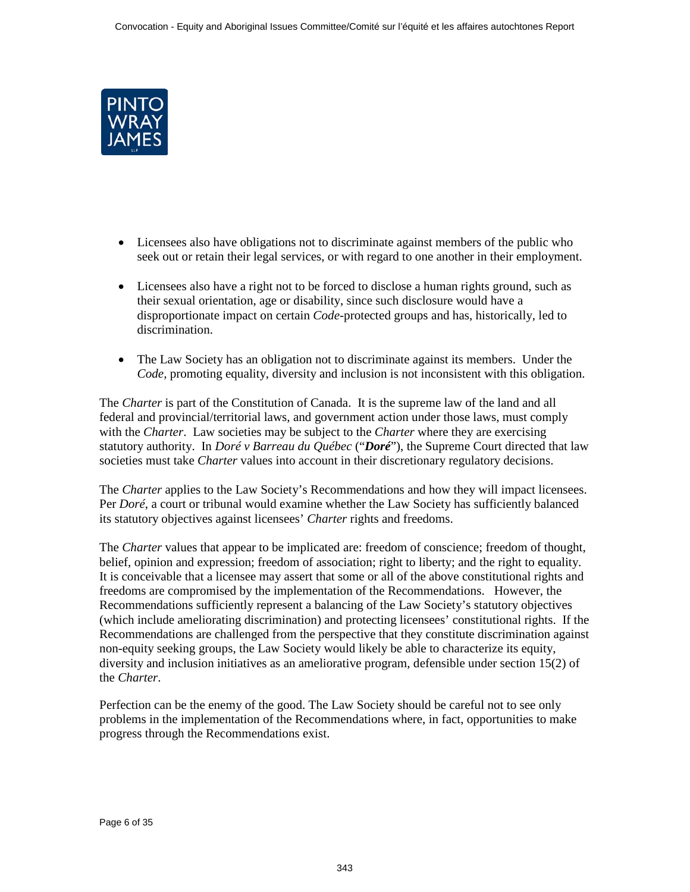

- Licensees also have obligations not to discriminate against members of the public who seek out or retain their legal services, or with regard to one another in their employment.
- Licensees also have a right not to be forced to disclose a human rights ground, such as their sexual orientation, age or disability, since such disclosure would have a disproportionate impact on certain *Code*-protected groups and has, historically, led to discrimination.
- The Law Society has an obligation not to discriminate against its members. Under the *Code,* promoting equality, diversity and inclusion is not inconsistent with this obligation.

The *Charter* is part of the Constitution of Canada. It is the supreme law of the land and all federal and provincial/territorial laws, and government action under those laws, must comply with the *Charter*. Law societies may be subject to the *Charter* where they are exercising statutory authority. In *Doré v Barreau du Québec* ("*Doré*"), the Supreme Court directed that law societies must take *Charter* values into account in their discretionary regulatory decisions.

The *Charter* applies to the Law Society's Recommendations and how they will impact licensees. Per *Doré*, a court or tribunal would examine whether the Law Society has sufficiently balanced its statutory objectives against licensees' *Charter* rights and freedoms.

The *Charter* values that appear to be implicated are: freedom of conscience; freedom of thought, belief, opinion and expression; freedom of association; right to liberty; and the right to equality. It is conceivable that a licensee may assert that some or all of the above constitutional rights and freedoms are compromised by the implementation of the Recommendations. However, the Recommendations sufficiently represent a balancing of the Law Society's statutory objectives (which include ameliorating discrimination) and protecting licensees' constitutional rights. If the Recommendations are challenged from the perspective that they constitute discrimination against non-equity seeking groups, the Law Society would likely be able to characterize its equity, diversity and inclusion initiatives as an ameliorative program, defensible under section 15(2) of the *Charter*.

Perfection can be the enemy of the good. The Law Society should be careful not to see only problems in the implementation of the Recommendations where, in fact, opportunities to make progress through the Recommendations exist.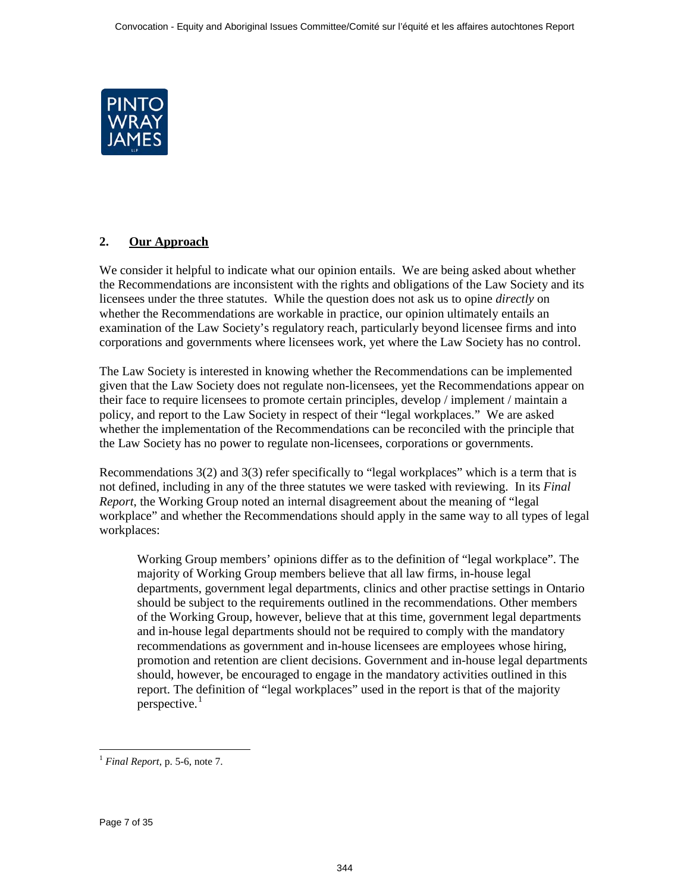<span id="page-6-0"></span>

# **2. Our Approach**

We consider it helpful to indicate what our opinion entails. We are being asked about whether the Recommendations are inconsistent with the rights and obligations of the Law Society and its licensees under the three statutes. While the question does not ask us to opine *directly* on whether the Recommendations are workable in practice, our opinion ultimately entails an examination of the Law Society's regulatory reach, particularly beyond licensee firms and into corporations and governments where licensees work, yet where the Law Society has no control.

The Law Society is interested in knowing whether the Recommendations can be implemented given that the Law Society does not regulate non-licensees, yet the Recommendations appear on their face to require licensees to promote certain principles, develop / implement / maintain a policy, and report to the Law Society in respect of their "legal workplaces." We are asked whether the implementation of the Recommendations can be reconciled with the principle that the Law Society has no power to regulate non-licensees, corporations or governments.

Recommendations 3(2) and 3(3) refer specifically to "legal workplaces" which is a term that is not defined, including in any of the three statutes we were tasked with reviewing. In its *Final Report*, the Working Group noted an internal disagreement about the meaning of "legal workplace" and whether the Recommendations should apply in the same way to all types of legal workplaces:

Working Group members' opinions differ as to the definition of "legal workplace". The majority of Working Group members believe that all law firms, in-house legal departments, government legal departments, clinics and other practise settings in Ontario should be subject to the requirements outlined in the recommendations. Other members of the Working Group, however, believe that at this time, government legal departments and in-house legal departments should not be required to comply with the mandatory recommendations as government and in-house licensees are employees whose hiring, promotion and retention are client decisions. Government and in-house legal departments should, however, be encouraged to engage in the mandatory activities outlined in this report. The definition of "legal workplaces" used in the report is that of the majority perspective. $<sup>1</sup>$ </sup>

 $\overline{a}$  $<sup>1</sup>$  *Final Report*, p. 5-6, note 7.</sup>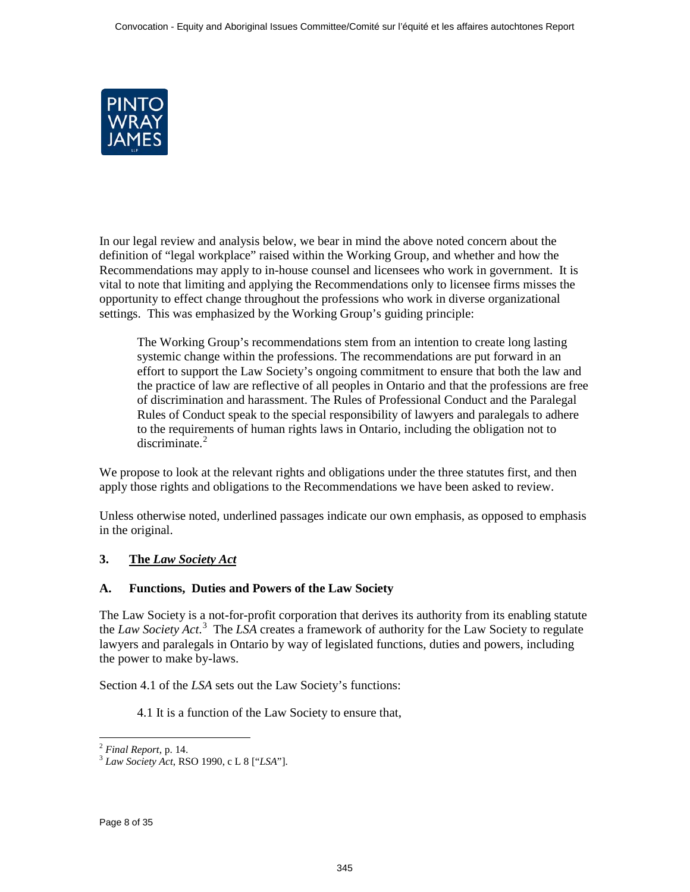<span id="page-7-0"></span>

In our legal review and analysis below, we bear in mind the above noted concern about the definition of "legal workplace" raised within the Working Group, and whether and how the Recommendations may apply to in-house counsel and licensees who work in government. It is vital to note that limiting and applying the Recommendations only to licensee firms misses the opportunity to effect change throughout the professions who work in diverse organizational settings. This was emphasized by the Working Group's guiding principle:

The Working Group's recommendations stem from an intention to create long lasting systemic change within the professions. The recommendations are put forward in an effort to support the Law Society's ongoing commitment to ensure that both the law and the practice of law are reflective of all peoples in Ontario and that the professions are free of discrimination and harassment. The Rules of Professional Conduct and the Paralegal Rules of Conduct speak to the special responsibility of lawyers and paralegals to adhere to the requirements of human rights laws in Ontario, including the obligation not to  $discriminate.<sup>2</sup>$ 

We propose to look at the relevant rights and obligations under the three statutes first, and then apply those rights and obligations to the Recommendations we have been asked to review.

Unless otherwise noted, underlined passages indicate our own emphasis, as opposed to emphasis in the original.

# **3. The** *Law Society Act*

## **A. Functions, Duties and Powers of the Law Society**

The Law Society is a not-for-profit corporation that derives its authority from its enabling statute the *Law Society Act*. 3 The *LSA* creates a framework of authority for the Law Society to regulate lawyers and paralegals in Ontario by way of legislated functions, duties and powers, including the power to make by-laws.

Section 4.1 of the *LSA* sets out the Law Society's functions:

4.1 It is a function of the Law Society to ensure that,

 $\ddot{\phantom{a}}$ 

<sup>2</sup> *Final Report*, p. 14. <sup>3</sup> *Law Society Act*, RSO 1990, c L 8 ["*LSA*"].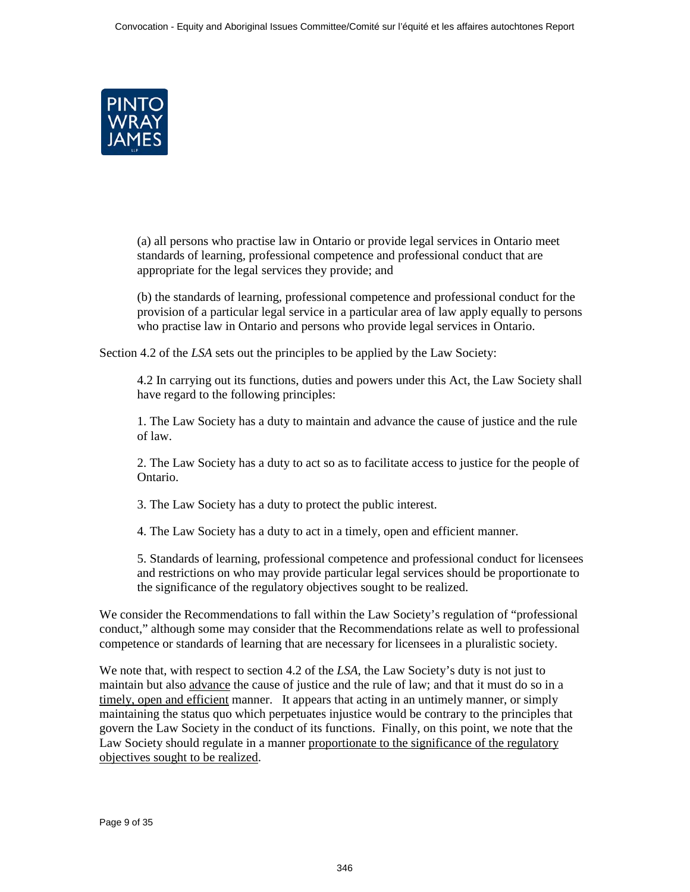

(a) all persons who practise law in Ontario or provide legal services in Ontario meet standards of learning, professional competence and professional conduct that are appropriate for the legal services they provide; and

(b) the standards of learning, professional competence and professional conduct for the provision of a particular legal service in a particular area of law apply equally to persons who practise law in Ontario and persons who provide legal services in Ontario.

Section 4.2 of the *LSA* sets out the principles to be applied by the Law Society:

4.2 In carrying out its functions, duties and powers under this Act, the Law Society shall have regard to the following principles:

1. The Law Society has a duty to maintain and advance the cause of justice and the rule of law.

2. The Law Society has a duty to act so as to facilitate access to justice for the people of Ontario.

3. The Law Society has a duty to protect the public interest.

4. The Law Society has a duty to act in a timely, open and efficient manner.

5. Standards of learning, professional competence and professional conduct for licensees and restrictions on who may provide particular legal services should be proportionate to the significance of the regulatory objectives sought to be realized.

We consider the Recommendations to fall within the Law Society's regulation of "professional conduct," although some may consider that the Recommendations relate as well to professional competence or standards of learning that are necessary for licensees in a pluralistic society.

We note that, with respect to section 4.2 of the *LSA*, the Law Society's duty is not just to maintain but also advance the cause of justice and the rule of law; and that it must do so in a timely, open and efficient manner. It appears that acting in an untimely manner, or simply maintaining the status quo which perpetuates injustice would be contrary to the principles that govern the Law Society in the conduct of its functions. Finally, on this point, we note that the Law Society should regulate in a manner proportionate to the significance of the regulatory objectives sought to be realized.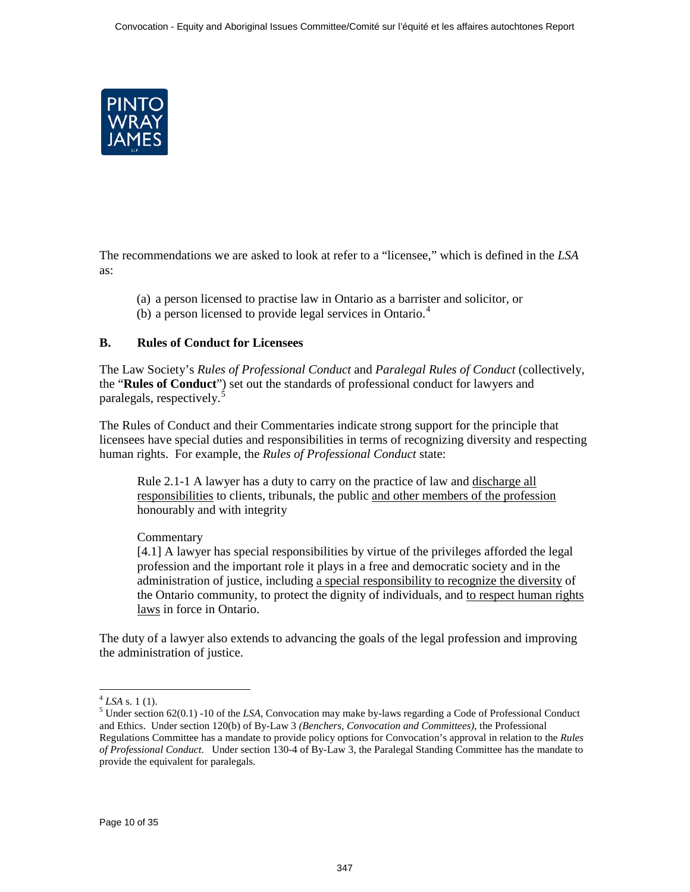<span id="page-9-0"></span>

The recommendations we are asked to look at refer to a "licensee," which is defined in the *LSA* as:

- (a) a person licensed to practise law in Ontario as a barrister and solicitor, or
- (b) a person licensed to provide legal services in Ontario.<sup>4</sup>

## **B. Rules of Conduct for Licensees**

The Law Society's *Rules of Professional Conduct* and *Paralegal Rules of Conduct* (collectively, the "**Rules of Conduct**") set out the standards of professional conduct for lawyers and paralegals, respectively.<sup>5</sup>

The Rules of Conduct and their Commentaries indicate strong support for the principle that licensees have special duties and responsibilities in terms of recognizing diversity and respecting human rights. For example, the *Rules of Professional Conduct* state:

Rule 2.1-1 A lawyer has a duty to carry on the practice of law and discharge all responsibilities to clients, tribunals, the public and other members of the profession honourably and with integrity

## **Commentary**

[4.1] A lawyer has special responsibilities by virtue of the privileges afforded the legal profession and the important role it plays in a free and democratic society and in the administration of justice, including a special responsibility to recognize the diversity of the Ontario community, to protect the dignity of individuals, and to respect human rights laws in force in Ontario.

The duty of a lawyer also extends to advancing the goals of the legal profession and improving the administration of justice.

 $\ddot{\phantom{a}}$ 

 $^{4}$  *LSA* s. 1 (1).<br><sup>5</sup> Under section 62(0.1) -10 of the *LSA*, Convocation may make by-laws regarding a Code of Professional Conduct and Ethics. Under section 120(b) of By-Law 3 *(Benchers, Convocation and Committees)*, the Professional Regulations Committee has a mandate to provide policy options for Convocation's approval in relation to the *Rules of Professional Conduct*. Under section 130-4 of By-Law 3, the Paralegal Standing Committee has the mandate to provide the equivalent for paralegals.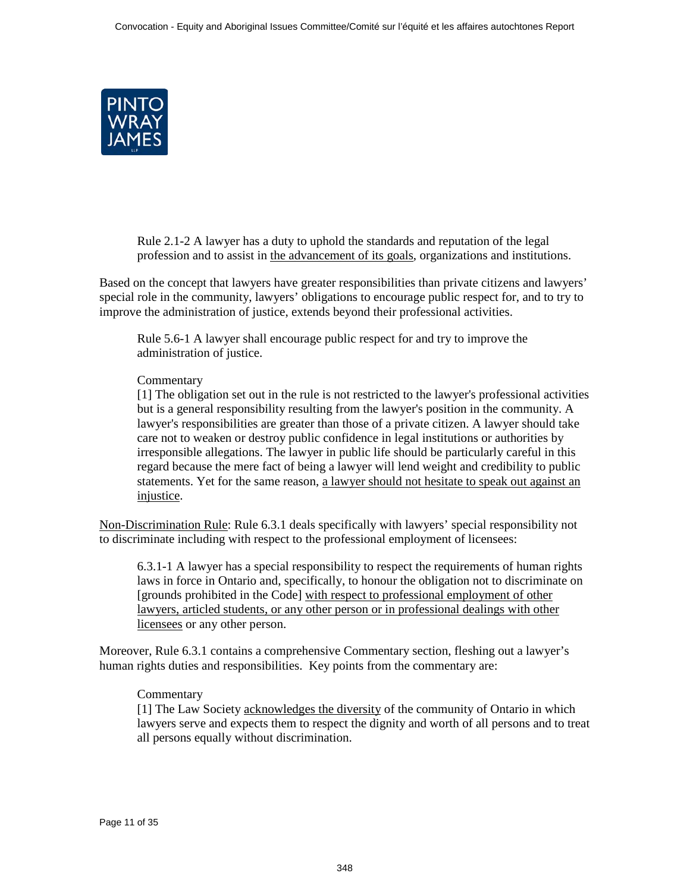

Rule 2.1-2 A lawyer has a duty to uphold the standards and reputation of the legal profession and to assist in the advancement of its goals, organizations and institutions.

Based on the concept that lawyers have greater responsibilities than private citizens and lawyers' special role in the community, lawyers' obligations to encourage public respect for, and to try to improve the administration of justice, extends beyond their professional activities.

Rule 5.6-1 A lawyer shall encourage public respect for and try to improve the administration of justice.

#### **Commentary**

[1] The obligation set out in the rule is not restricted to the lawyer's professional activities but is a general responsibility resulting from the lawyer's position in the community. A lawyer's responsibilities are greater than those of a private citizen. A lawyer should take care not to weaken or destroy public confidence in legal institutions or authorities by irresponsible allegations. The lawyer in public life should be particularly careful in this regard because the mere fact of being a lawyer will lend weight and credibility to public statements. Yet for the same reason, a lawyer should not hesitate to speak out against an injustice.

Non-Discrimination Rule: Rule 6.3.1 deals specifically with lawyers' special responsibility not to discriminate including with respect to the professional employment of licensees:

6.3.1-1 A lawyer has a special responsibility to respect the requirements of human rights laws in force in Ontario and, specifically, to honour the obligation not to discriminate on [grounds prohibited in the Code] with respect to professional employment of other lawyers, articled students, or any other person or in professional dealings with other licensees or any other person.

Moreover, Rule 6.3.1 contains a comprehensive Commentary section, fleshing out a lawyer's human rights duties and responsibilities. Key points from the commentary are:

#### **Commentary**

[1] The Law Society acknowledges the diversity of the community of Ontario in which lawyers serve and expects them to respect the dignity and worth of all persons and to treat all persons equally without discrimination.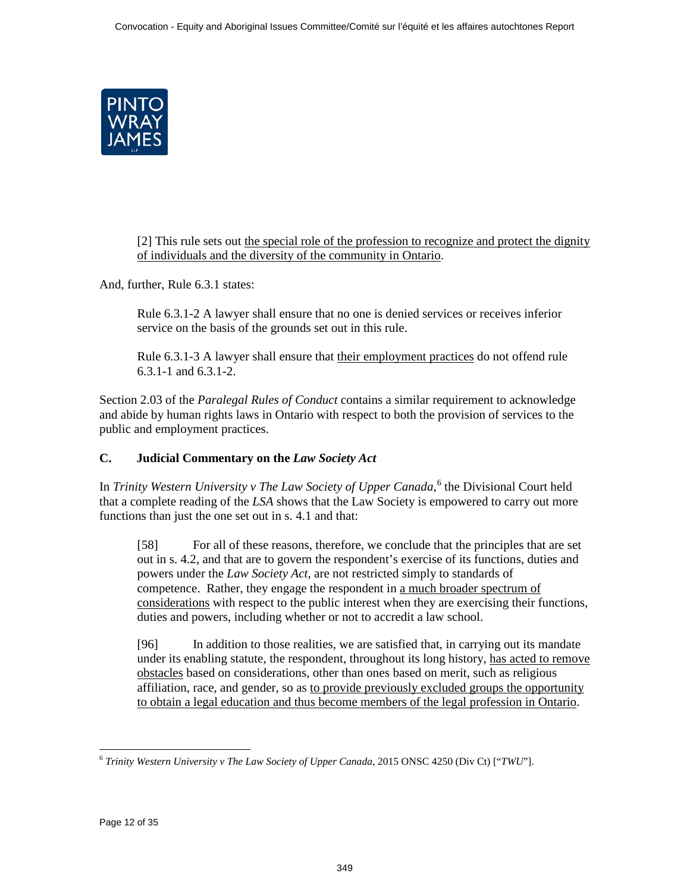<span id="page-11-0"></span>

[2] This rule sets out the special role of the profession to recognize and protect the dignity of individuals and the diversity of the community in Ontario.

And, further, Rule 6.3.1 states:

Rule 6.3.1-2 A lawyer shall ensure that no one is denied services or receives inferior service on the basis of the grounds set out in this rule.

Rule 6.3.1-3 A lawyer shall ensure that their employment practices do not offend rule 6.3.1-1 and 6.3.1-2.

Section 2.03 of the *Paralegal Rules of Conduct* contains a similar requirement to acknowledge and abide by human rights laws in Ontario with respect to both the provision of services to the public and employment practices.

# **C. Judicial Commentary on the** *Law Society Act*

In *Trinity Western University v The Law Society of Upper Canada*, <sup>6</sup> the Divisional Court held that a complete reading of the *LSA* shows that the Law Society is empowered to carry out more functions than just the one set out in s. 4.1 and that:

[58] For all of these reasons, therefore, we conclude that the principles that are set out in s. 4.2, and that are to govern the respondent's exercise of its functions, duties and powers under the *Law Society Act*, are not restricted simply to standards of competence. Rather, they engage the respondent in a much broader spectrum of considerations with respect to the public interest when they are exercising their functions, duties and powers, including whether or not to accredit a law school.

[96] In addition to those realities, we are satisfied that, in carrying out its mandate under its enabling statute, the respondent, throughout its long history, has acted to remove obstacles based on considerations, other than ones based on merit, such as religious affiliation, race, and gender, so as to provide previously excluded groups the opportunity to obtain a legal education and thus become members of the legal profession in Ontario.

 $\overline{a}$ <sup>6</sup> *Trinity Western University v The Law Society of Upper Canada*, 2015 ONSC 4250 (Div Ct) ["*TWU*"].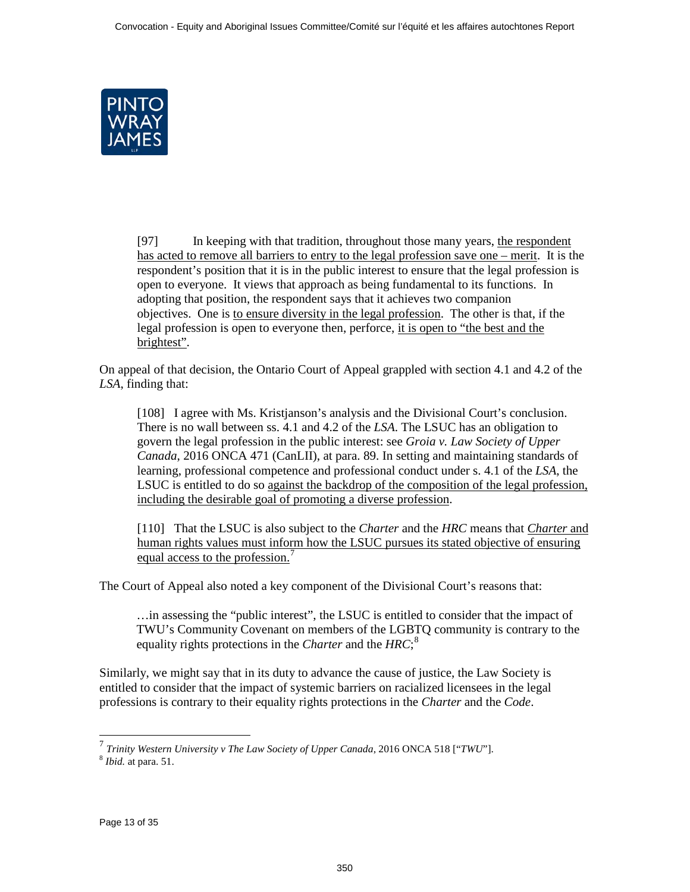<span id="page-12-0"></span>

[97] In keeping with that tradition, throughout those many years, the respondent has acted to remove all barriers to entry to the legal profession save one – merit. It is the respondent's position that it is in the public interest to ensure that the legal profession is open to everyone. It views that approach as being fundamental to its functions. In adopting that position, the respondent says that it achieves two companion objectives. One is to ensure diversity in the legal profession. The other is that, if the legal profession is open to everyone then, perforce, it is open to "the best and the brightest".

On appeal of that decision, the Ontario Court of Appeal grappled with section 4.1 and 4.2 of the *LSA*, finding that:

[108] I agree with Ms. Kristjanson's analysis and the Divisional Court's conclusion. There is no wall between ss. 4.1 and 4.2 of the *LSA*. The LSUC has an obligation to govern the legal profession in the public interest: see *Groia v. Law Society of Upper Canada*, 2016 ONCA 471 (CanLII), at para. 89. In setting and maintaining standards of learning, professional competence and professional conduct under s. 4.1 of the *LSA*, the LSUC is entitled to do so against the backdrop of the composition of the legal profession, including the desirable goal of promoting a diverse profession.

[110] That the LSUC is also subject to the *Charter* and the *HRC* means that *Charter* and human rights values must inform how the LSUC pursues its stated objective of ensuring equal access to the profession.<sup>7</sup>

The Court of Appeal also noted a key component of the Divisional Court's reasons that:

…in assessing the "public interest", the LSUC is entitled to consider that the impact of TWU's Community Covenant on members of the LGBTQ community is contrary to the equality rights protections in the *Charter* and the *HRC*; 8

Similarly, we might say that in its duty to advance the cause of justice, the Law Society is entitled to consider that the impact of systemic barriers on racialized licensees in the legal professions is contrary to their equality rights protections in the *Charter* and the *Code*.

 $\overline{a}$ 

<sup>7</sup> *Trinity Western University v The Law Society of Upper Canada*, 2016 ONCA 518 ["*TWU*"]. <sup>8</sup> *Ibid.* at para. 51.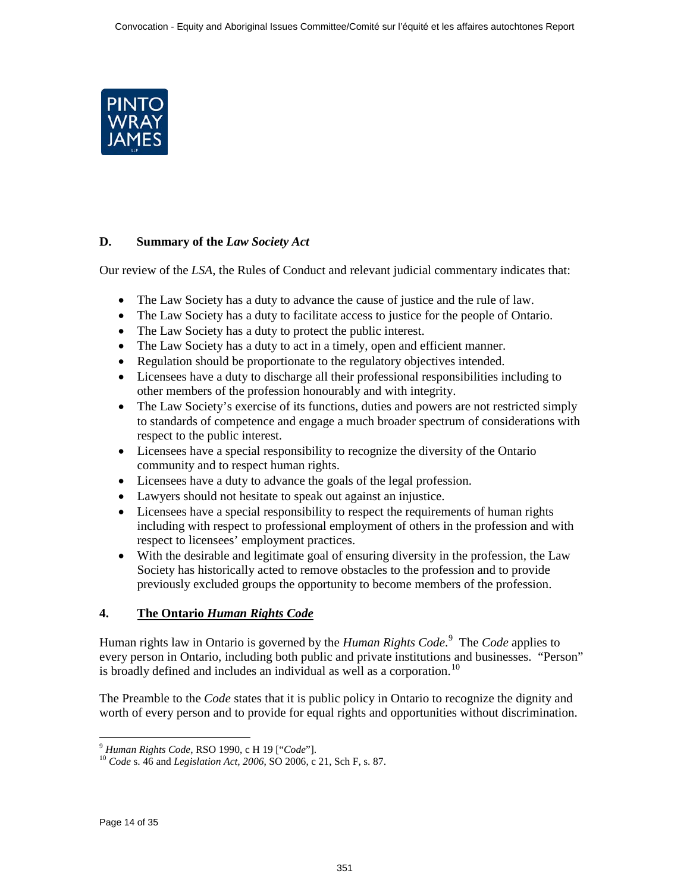<span id="page-13-0"></span>

# **D. Summary of the** *Law Society Act*

Our review of the *LSA*, the Rules of Conduct and relevant judicial commentary indicates that:

- The Law Society has a duty to advance the cause of justice and the rule of law.
- The Law Society has a duty to facilitate access to justice for the people of Ontario.
- The Law Society has a duty to protect the public interest.
- The Law Society has a duty to act in a timely, open and efficient manner.
- Regulation should be proportionate to the regulatory objectives intended.
- Licensees have a duty to discharge all their professional responsibilities including to other members of the profession honourably and with integrity.
- The Law Society's exercise of its functions, duties and powers are not restricted simply to standards of competence and engage a much broader spectrum of considerations with respect to the public interest.
- Licensees have a special responsibility to recognize the diversity of the Ontario community and to respect human rights.
- Licensees have a duty to advance the goals of the legal profession.
- Lawyers should not hesitate to speak out against an injustice.
- Licensees have a special responsibility to respect the requirements of human rights including with respect to professional employment of others in the profession and with respect to licensees' employment practices.
- With the desirable and legitimate goal of ensuring diversity in the profession, the Law Society has historically acted to remove obstacles to the profession and to provide previously excluded groups the opportunity to become members of the profession.

# **4. The Ontario** *Human Rights Code*

Human rights law in Ontario is governed by the *Human Rights Code*. 9 The *Code* applies to every person in Ontario, including both public and private institutions and businesses. "Person" is broadly defined and includes an individual as well as a corporation.<sup>10</sup>

The Preamble to the *Code* states that it is public policy in Ontario to recognize the dignity and worth of every person and to provide for equal rights and opportunities without discrimination.

<sup>&</sup>lt;sup>9</sup> Human Rights Code, RSO 1990, c H 19 ["Code"].

<sup>&</sup>lt;sup>10</sup> *Code* s. 46 and *Legislation Act, 2006*, SO 2006, c 21, Sch F, s. 87.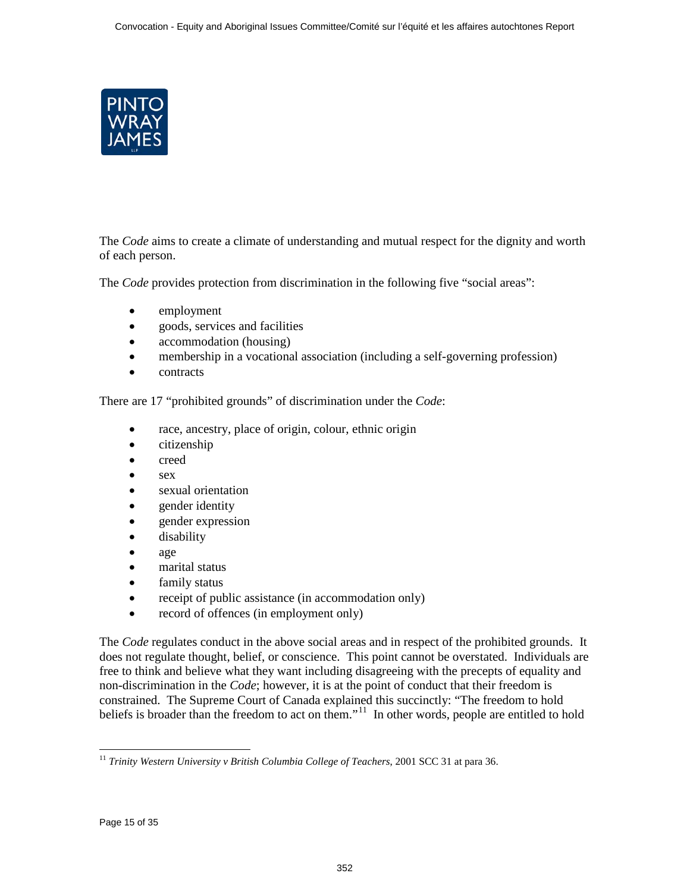

The *Code* aims to create a climate of understanding and mutual respect for the dignity and worth of each person.

The *Code* provides protection from discrimination in the following five "social areas":

- employment
- goods, services and facilities
- accommodation (housing)
- membership in a vocational association (including a self-governing profession)
- contracts

There are 17 "prohibited grounds" of discrimination under the *Code*:

- race, ancestry, place of origin, colour, ethnic origin
- citizenship
- creed
- sex
- sexual orientation
- gender identity
- gender expression
- disability
- age
- marital status
- family status
- receipt of public assistance (in accommodation only)
- record of offences (in employment only)

The *Code* regulates conduct in the above social areas and in respect of the prohibited grounds. It does not regulate thought, belief, or conscience. This point cannot be overstated. Individuals are free to think and believe what they want including disagreeing with the precepts of equality and non-discrimination in the *Code*; however, it is at the point of conduct that their freedom is constrained. The Supreme Court of Canada explained this succinctly: "The freedom to hold beliefs is broader than the freedom to act on them."<sup>11</sup> In other words, people are entitled to hold

 $\overline{a}$ <sup>11</sup> *Trinity Western University v British Columbia College of Teachers, 2001 SCC 31 at para 36.*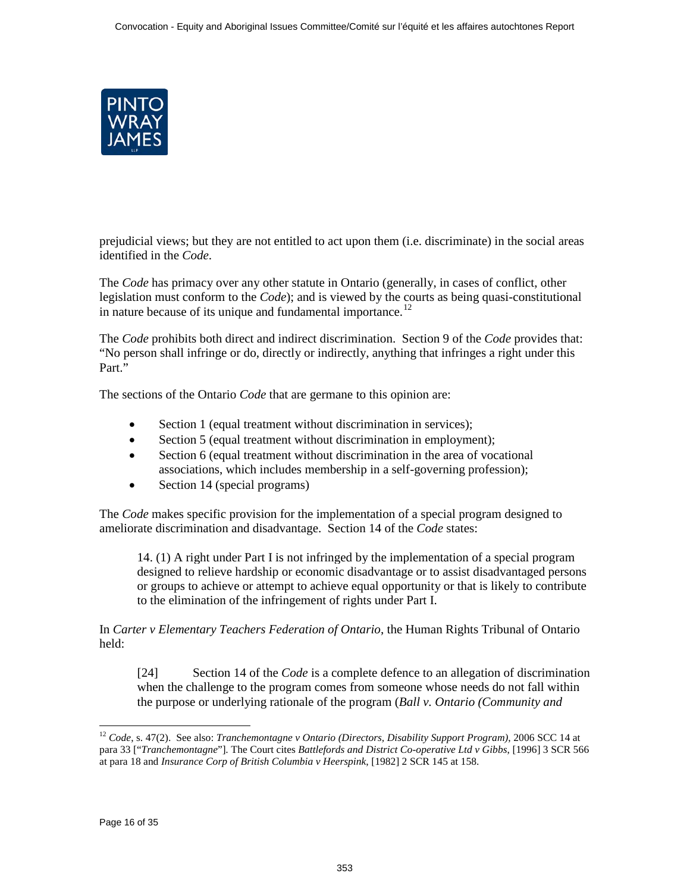

prejudicial views; but they are not entitled to act upon them (i.e. discriminate) in the social areas identified in the *Code*.

The *Code* has primacy over any other statute in Ontario (generally, in cases of conflict, other legislation must conform to the *Code*); and is viewed by the courts as being quasi-constitutional in nature because of its unique and fundamental importance.<sup>12</sup>

The *Code* prohibits both direct and indirect discrimination. Section 9 of the *Code* provides that: "No person shall infringe or do, directly or indirectly, anything that infringes a right under this Part."

The sections of the Ontario *Code* that are germane to this opinion are:

- Section 1 (equal treatment without discrimination in services);
- Section 5 (equal treatment without discrimination in employment);
- Section 6 (equal treatment without discrimination in the area of vocational associations, which includes membership in a self-governing profession);
- Section 14 (special programs)

The *Code* makes specific provision for the implementation of a special program designed to ameliorate discrimination and disadvantage. Section 14 of the *Code* states:

14. (1) A right under Part I is not infringed by the implementation of a special program designed to relieve hardship or economic disadvantage or to assist disadvantaged persons or groups to achieve or attempt to achieve equal opportunity or that is likely to contribute to the elimination of the infringement of rights under Part I.

In *Carter v Elementary Teachers Federation of Ontario*, the Human Rights Tribunal of Ontario held:

[24] Section 14 of the *Code* is a complete defence to an allegation of discrimination when the challenge to the program comes from someone whose needs do not fall within the purpose or underlying rationale of the program (*Ball v. Ontario (Community and* 

 $\ddot{\phantom{a}}$ <sup>12</sup> *Code*, s. 47(2). See also: *Tranchemontagne v Ontario (Directors, Disability Support Program)*, 2006 SCC 14 at para 33 ["*Tranchemontagne*"]. The Court cites *Battlefords and District Co-operative Ltd v Gibbs*, [1996] 3 SCR 566 at para 18 and *Insurance Corp of British Columbia v Heerspink*, [1982] 2 SCR 145 at 158.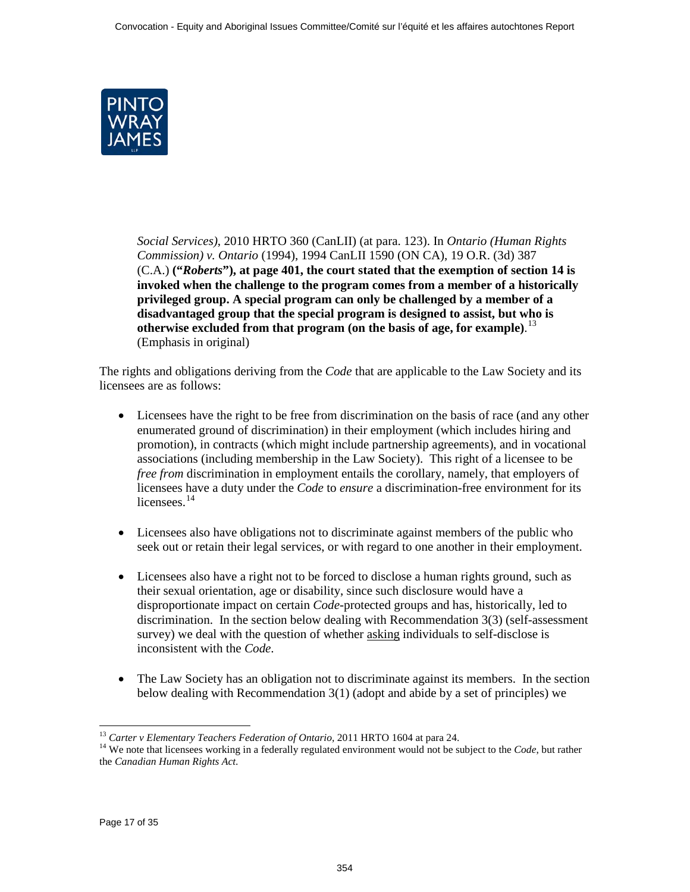

*Social Services)*, 2010 HRTO 360 (CanLII) (at para. 123). In *Ontario (Human Rights Commission) v. Ontario* (1994), 1994 CanLII 1590 (ON CA), 19 O.R. (3d) 387 (C.A.) **("***Roberts***"), at page 401, the court stated that the exemption of section 14 is invoked when the challenge to the program comes from a member of a historically privileged group. A special program can only be challenged by a member of a disadvantaged group that the special program is designed to assist, but who is otherwise excluded from that program (on the basis of age, for example)**. 13 (Emphasis in original)

The rights and obligations deriving from the *Code* that are applicable to the Law Society and its licensees are as follows:

- Licensees have the right to be free from discrimination on the basis of race (and any other enumerated ground of discrimination) in their employment (which includes hiring and promotion), in contracts (which might include partnership agreements), and in vocational associations (including membership in the Law Society). This right of a licensee to be *free from* discrimination in employment entails the corollary, namely, that employers of licensees have a duty under the *Code* to *ensure* a discrimination-free environment for its licensees.<sup>14</sup>
- Licensees also have obligations not to discriminate against members of the public who seek out or retain their legal services, or with regard to one another in their employment.
- Licensees also have a right not to be forced to disclose a human rights ground, such as their sexual orientation, age or disability, since such disclosure would have a disproportionate impact on certain *Code*-protected groups and has, historically, led to discrimination. In the section below dealing with Recommendation 3(3) (self-assessment survey) we deal with the question of whether asking individuals to self-disclose is inconsistent with the *Code*.
- The Law Society has an obligation not to discriminate against its members. In the section below dealing with Recommendation 3(1) (adopt and abide by a set of principles) we

<sup>&</sup>lt;sup>13</sup> Carter v Elementary Teachers Federation of Ontario, 2011 HRTO 1604 at para 24.

<sup>&</sup>lt;sup>14</sup> We note that licensees working in a federally regulated environment would not be subject to the *Code*, but rather the *Canadian Human Rights Act*.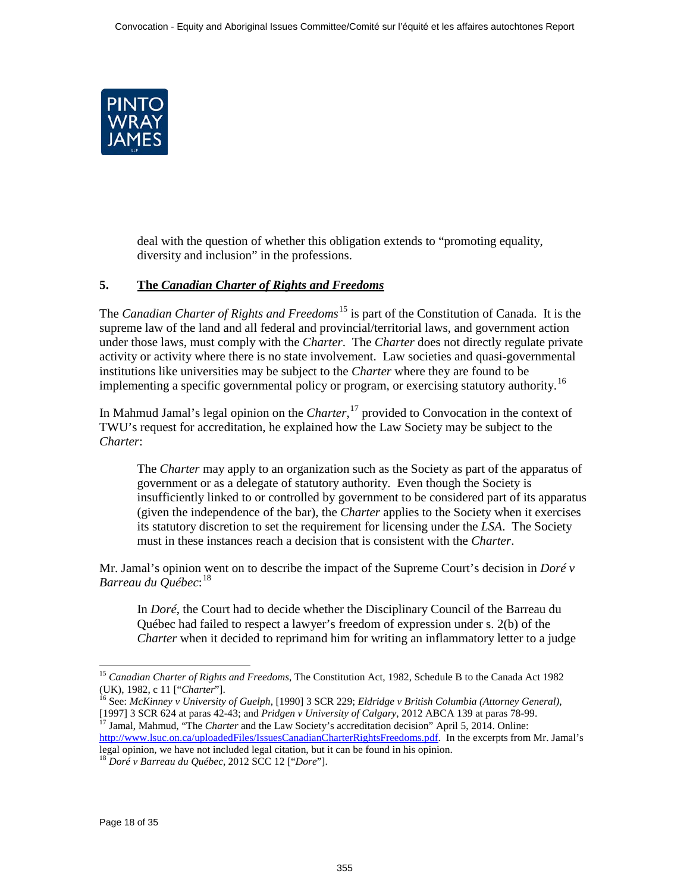<span id="page-17-0"></span>

deal with the question of whether this obligation extends to "promoting equality, diversity and inclusion" in the professions.

# **5. The** *Canadian Charter of Rights and Freedoms*

The *Canadian Charter of Rights and Freedoms*15 is part of the Constitution of Canada. It is the supreme law of the land and all federal and provincial/territorial laws, and government action under those laws, must comply with the *Charter*. The *Charter* does not directly regulate private activity or activity where there is no state involvement. Law societies and quasi-governmental institutions like universities may be subject to the *Charter* where they are found to be implementing a specific governmental policy or program, or exercising statutory authority.<sup>16</sup>

In Mahmud Jamal's legal opinion on the *Charter*, 17 provided to Convocation in the context of TWU's request for accreditation, he explained how the Law Society may be subject to the *Charter*:

The *Charter* may apply to an organization such as the Society as part of the apparatus of government or as a delegate of statutory authority. Even though the Society is insufficiently linked to or controlled by government to be considered part of its apparatus (given the independence of the bar), the *Charter* applies to the Society when it exercises its statutory discretion to set the requirement for licensing under the *LSA*. The Society must in these instances reach a decision that is consistent with the *Charter*.

Mr. Jamal's opinion went on to describe the impact of the Supreme Court's decision in *Doré v Barreau du Québec*: 18

In *Doré*, the Court had to decide whether the Disciplinary Council of the Barreau du Québec had failed to respect a lawyer's freedom of expression under s. 2(b) of the *Charter* when it decided to reprimand him for writing an inflammatory letter to a judge

 $\ddot{\phantom{a}}$ <sup>15</sup> *Canadian Charter of Rights and Freedoms*, The Constitution Act, 1982, Schedule B to the Canada Act 1982 (UK), 1982, c 11 ["*Charter*"]. <sup>16</sup> See: *McKinney v University of Guelph*, [1990] 3 SCR 229; *Eldridge v British Columbia (Attorney General)*,

<sup>[1997] 3</sup> SCR 624 at paras 42-43; and *Pridgen v University of Calgary*, 2012 ABCA 139 at paras 78-99. <sup>17</sup> Jamal, Mahmud, "The *Charter* and the Law Society's accreditation decision" April 5, 2014. Online:

[http://www.lsuc.on.ca/uploadedFiles/IssuesCanadianCharterRightsFreedoms.pdf.](http://www.lsuc.on.ca/uploadedFiles/IssuesCanadianCharterRightsFreedoms.pdf) In the excerpts from Mr. Jamal's legal opinion, we have not included legal citation, but it can be found in his opinion. <sup>18</sup> *Doré v Barreau du Québec*, 2012 SCC 12 ["*Dore*"].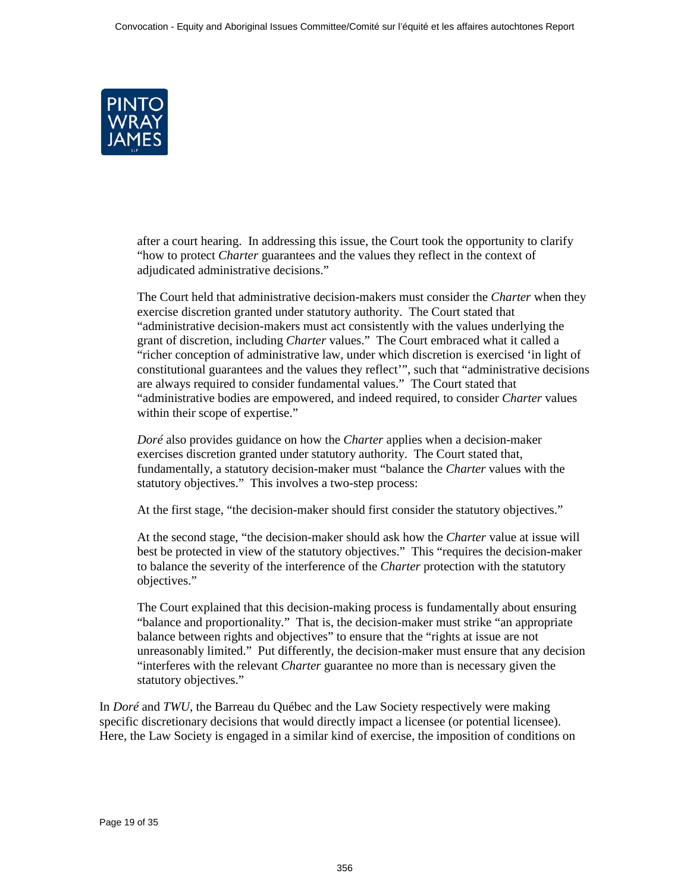

after a court hearing. In addressing this issue, the Court took the opportunity to clarify "how to protect *Charter* guarantees and the values they reflect in the context of adjudicated administrative decisions."

The Court held that administrative decision-makers must consider the *Charter* when they exercise discretion granted under statutory authority. The Court stated that "administrative decision-makers must act consistently with the values underlying the grant of discretion, including *Charter* values." The Court embraced what it called a "richer conception of administrative law, under which discretion is exercised 'in light of constitutional guarantees and the values they reflect'", such that "administrative decisions are always required to consider fundamental values." The Court stated that "administrative bodies are empowered, and indeed required, to consider *Charter* values within their scope of expertise."

*Doré* also provides guidance on how the *Charter* applies when a decision-maker exercises discretion granted under statutory authority. The Court stated that, fundamentally, a statutory decision-maker must "balance the *Charter* values with the statutory objectives." This involves a two-step process:

At the first stage, "the decision-maker should first consider the statutory objectives."

At the second stage, "the decision-maker should ask how the *Charter* value at issue will best be protected in view of the statutory objectives." This "requires the decision-maker to balance the severity of the interference of the *Charter* protection with the statutory objectives."

The Court explained that this decision-making process is fundamentally about ensuring "balance and proportionality." That is, the decision-maker must strike "an appropriate balance between rights and objectives" to ensure that the "rights at issue are not unreasonably limited." Put differently, the decision-maker must ensure that any decision "interferes with the relevant *Charter* guarantee no more than is necessary given the statutory objectives."

In *Doré* and *TWU*, the Barreau du Québec and the Law Society respectively were making specific discretionary decisions that would directly impact a licensee (or potential licensee). Here, the Law Society is engaged in a similar kind of exercise, the imposition of conditions on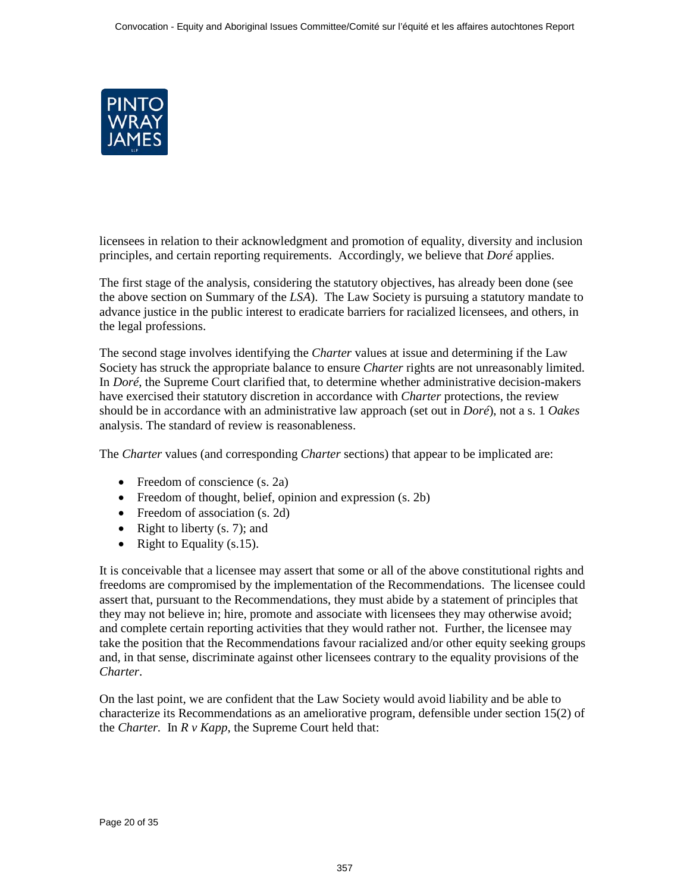

licensees in relation to their acknowledgment and promotion of equality, diversity and inclusion principles, and certain reporting requirements. Accordingly, we believe that *Doré* applies.

The first stage of the analysis, considering the statutory objectives, has already been done (see the above section on Summary of the *LSA*). The Law Society is pursuing a statutory mandate to advance justice in the public interest to eradicate barriers for racialized licensees, and others, in the legal professions.

The second stage involves identifying the *Charter* values at issue and determining if the Law Society has struck the appropriate balance to ensure *Charter* rights are not unreasonably limited. In *Doré*, the Supreme Court clarified that, to determine whether administrative decision-makers have exercised their statutory discretion in accordance with *Charter* protections, the review should be in accordance with an administrative law approach (set out in *Doré*), not a s. 1 *Oakes* analysis. The standard of review is reasonableness.

The *Charter* values (and corresponding *Charter* sections) that appear to be implicated are:

- Freedom of conscience (s. 2a)
- Freedom of thought, belief, opinion and expression (s. 2b)
- Freedom of association (s. 2d)
- Right to liberty  $(s, 7)$ ; and
- Right to Equality  $(s.15)$ .

It is conceivable that a licensee may assert that some or all of the above constitutional rights and freedoms are compromised by the implementation of the Recommendations. The licensee could assert that, pursuant to the Recommendations, they must abide by a statement of principles that they may not believe in; hire, promote and associate with licensees they may otherwise avoid; and complete certain reporting activities that they would rather not. Further, the licensee may take the position that the Recommendations favour racialized and/or other equity seeking groups and, in that sense, discriminate against other licensees contrary to the equality provisions of the *Charter*.

On the last point, we are confident that the Law Society would avoid liability and be able to characterize its Recommendations as an ameliorative program, defensible under section 15(2) of the *Charter.* In *R v Kapp*, the Supreme Court held that: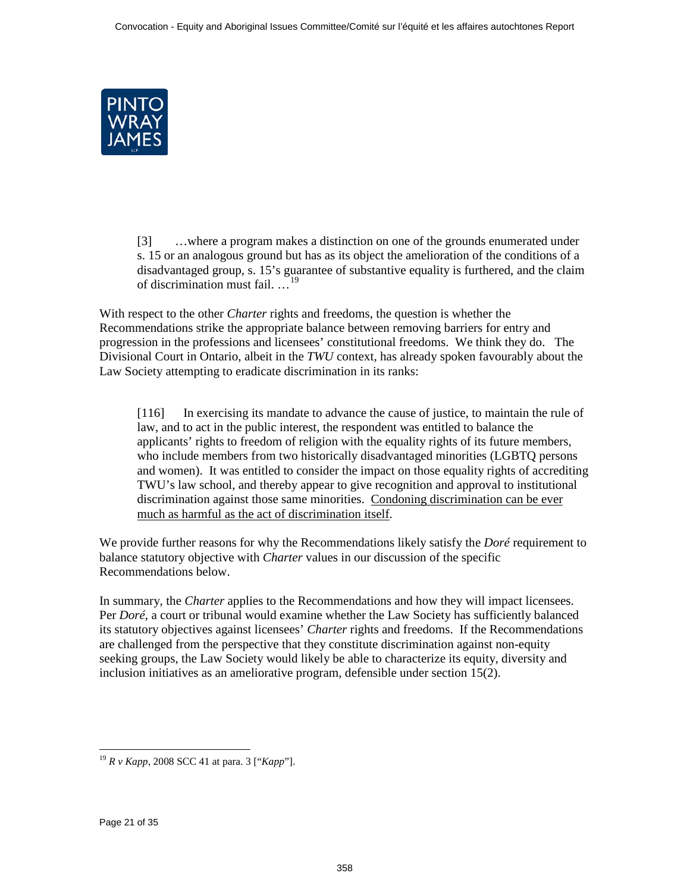

[3] …where a program makes a distinction on one of the grounds enumerated under s. 15 or an analogous ground but has as its object the amelioration of the conditions of a disadvantaged group, s. 15's guarantee of substantive equality is furthered, and the claim of discrimination must fail. …<sup>19</sup>

With respect to the other *Charter* rights and freedoms, the question is whether the Recommendations strike the appropriate balance between removing barriers for entry and progression in the professions and licensees' constitutional freedoms. We think they do. The Divisional Court in Ontario, albeit in the *TWU* context, has already spoken favourably about the Law Society attempting to eradicate discrimination in its ranks:

[116] In exercising its mandate to advance the cause of justice, to maintain the rule of law, and to act in the public interest, the respondent was entitled to balance the applicants' rights to freedom of religion with the equality rights of its future members, who include members from two historically disadvantaged minorities (LGBTQ persons and women). It was entitled to consider the impact on those equality rights of accrediting TWU's law school, and thereby appear to give recognition and approval to institutional discrimination against those same minorities. Condoning discrimination can be ever much as harmful as the act of discrimination itself.

We provide further reasons for why the Recommendations likely satisfy the *Doré* requirement to balance statutory objective with *Charter* values in our discussion of the specific Recommendations below.

In summary, the *Charter* applies to the Recommendations and how they will impact licensees. Per *Doré*, a court or tribunal would examine whether the Law Society has sufficiently balanced its statutory objectives against licensees' *Charter* rights and freedoms. If the Recommendations are challenged from the perspective that they constitute discrimination against non-equity seeking groups, the Law Society would likely be able to characterize its equity, diversity and inclusion initiatives as an ameliorative program, defensible under section 15(2).

 $\overline{a}$ <sup>19</sup> *R v Kapp*, 2008 SCC 41 at para. 3 ["*Kapp*"].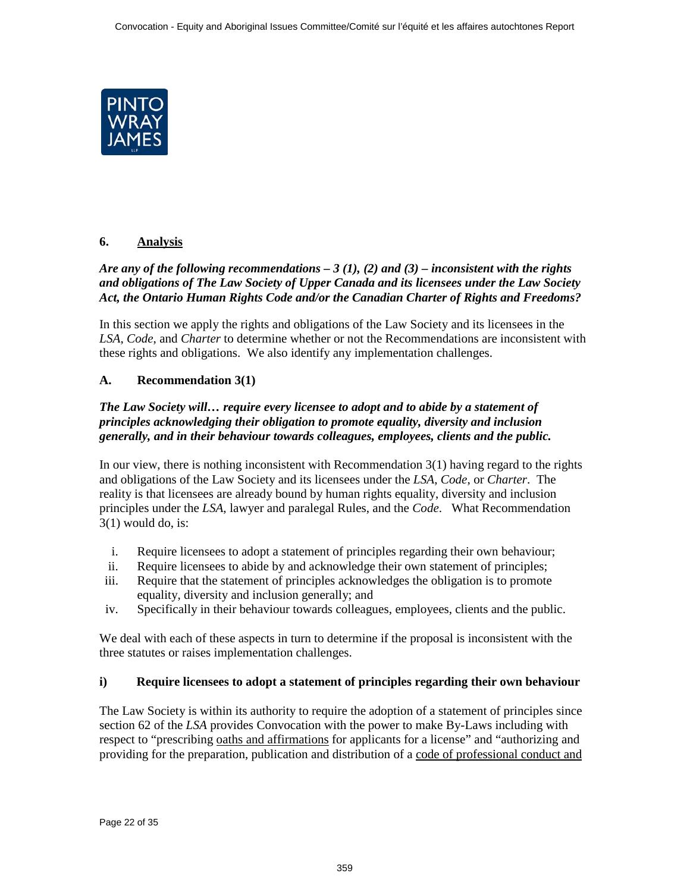<span id="page-21-0"></span>

# **6. Analysis**

# *Are any of the following recommendations – 3 (1), (2) and (3) – inconsistent with the rights and obligations of The Law Society of Upper Canada and its licensees under the Law Society Act, the Ontario Human Rights Code and/or the Canadian Charter of Rights and Freedoms?*

In this section we apply the rights and obligations of the Law Society and its licensees in the *LSA*, *Code*, and *Charter* to determine whether or not the Recommendations are inconsistent with these rights and obligations. We also identify any implementation challenges.

# **A. Recommendation 3(1)**

## *The Law Society will… require every licensee to adopt and to abide by a statement of principles acknowledging their obligation to promote equality, diversity and inclusion generally, and in their behaviour towards colleagues, employees, clients and the public.*

In our view, there is nothing inconsistent with Recommendation 3(1) having regard to the rights and obligations of the Law Society and its licensees under the *LSA*, *Code*, or *Charter*. The reality is that licensees are already bound by human rights equality, diversity and inclusion principles under the *LSA*, lawyer and paralegal Rules, and the *Code*. What Recommendation  $3(1)$  would do, is:

- i. Require licensees to adopt a statement of principles regarding their own behaviour;
- ii. Require licensees to abide by and acknowledge their own statement of principles;
- iii. Require that the statement of principles acknowledges the obligation is to promote equality, diversity and inclusion generally; and
- iv. Specifically in their behaviour towards colleagues, employees, clients and the public.

We deal with each of these aspects in turn to determine if the proposal is inconsistent with the three statutes or raises implementation challenges.

# **i) Require licensees to adopt a statement of principles regarding their own behaviour**

The Law Society is within its authority to require the adoption of a statement of principles since section 62 of the *LSA* provides Convocation with the power to make By-Laws including with respect to "prescribing oaths and affirmations for applicants for a license" and "authorizing and providing for the preparation, publication and distribution of a code of professional conduct and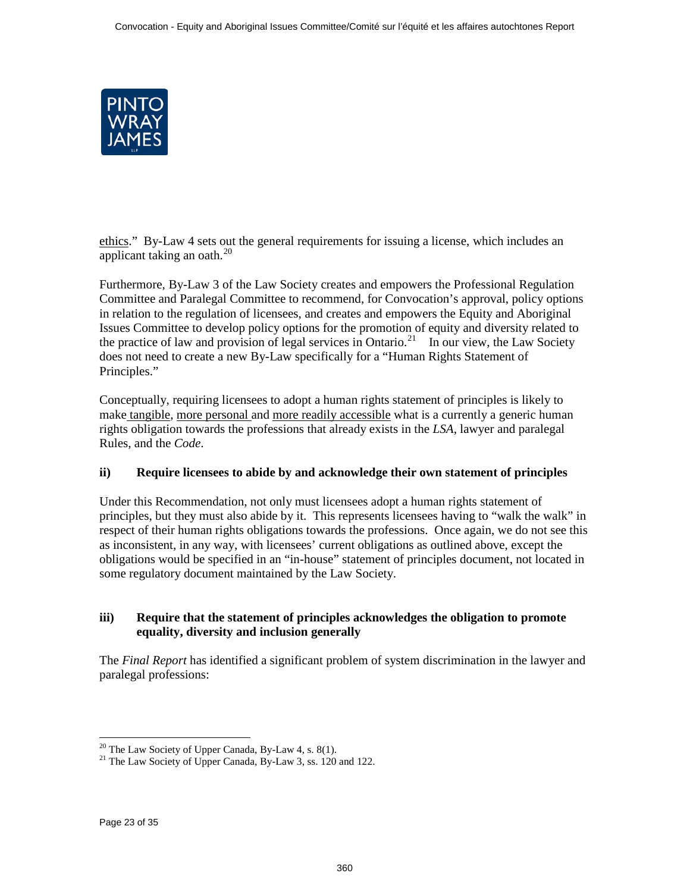

ethics." By-Law 4 sets out the general requirements for issuing a license, which includes an applicant taking an oath.<sup>20</sup>

Furthermore, By-Law 3 of the Law Society creates and empowers the Professional Regulation Committee and Paralegal Committee to recommend, for Convocation's approval, policy options in relation to the regulation of licensees, and creates and empowers the Equity and Aboriginal Issues Committee to develop policy options for the promotion of equity and diversity related to the practice of law and provision of legal services in Ontario.<sup>21</sup> In our view, the Law Society does not need to create a new By-Law specifically for a "Human Rights Statement of Principles."

Conceptually, requiring licensees to adopt a human rights statement of principles is likely to make tangible, more personal and more readily accessible what is a currently a generic human rights obligation towards the professions that already exists in the *LSA*, lawyer and paralegal Rules, and the *Code*.

# **ii) Require licensees to abide by and acknowledge their own statement of principles**

Under this Recommendation, not only must licensees adopt a human rights statement of principles, but they must also abide by it. This represents licensees having to "walk the walk" in respect of their human rights obligations towards the professions. Once again, we do not see this as inconsistent, in any way, with licensees' current obligations as outlined above, except the obligations would be specified in an "in-house" statement of principles document, not located in some regulatory document maintained by the Law Society.

## **iii) Require that the statement of principles acknowledges the obligation to promote equality, diversity and inclusion generally**

The *Final Report* has identified a significant problem of system discrimination in the lawyer and paralegal professions:

<sup>&</sup>lt;sup>20</sup> The Law Society of Upper Canada, By-Law 4, s. 8(1).

<sup>&</sup>lt;sup>21</sup> The Law Society of Upper Canada, By-Law 3, ss. 120 and 122.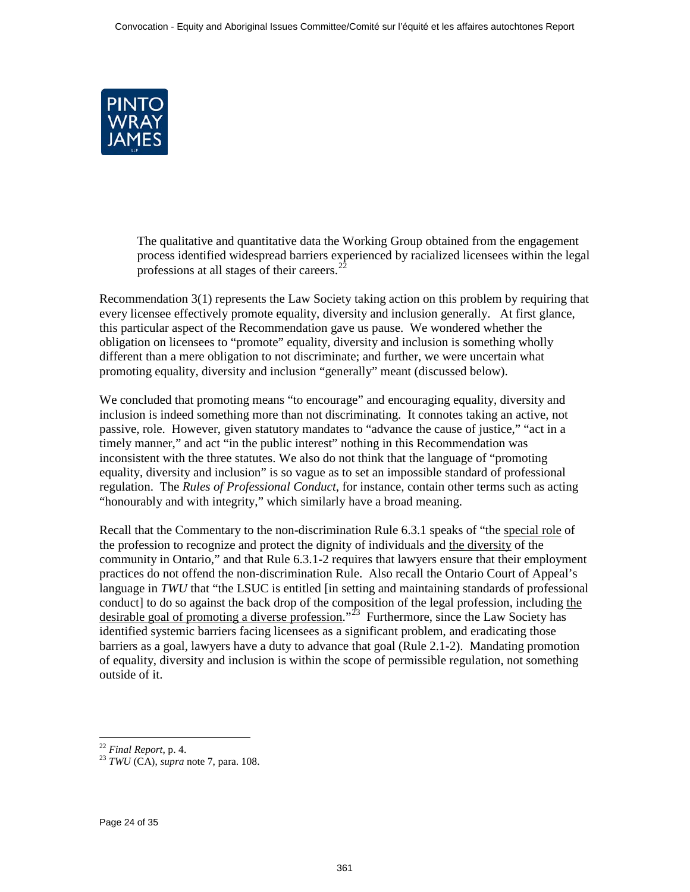

The qualitative and quantitative data the Working Group obtained from the engagement process identified widespread barriers experienced by racialized licensees within the legal professions at all stages of their careers.<sup>2</sup>

Recommendation 3(1) represents the Law Society taking action on this problem by requiring that every licensee effectively promote equality, diversity and inclusion generally. At first glance, this particular aspect of the Recommendation gave us pause. We wondered whether the obligation on licensees to "promote" equality, diversity and inclusion is something wholly different than a mere obligation to not discriminate; and further, we were uncertain what promoting equality, diversity and inclusion "generally" meant (discussed below).

We concluded that promoting means "to encourage" and encouraging equality, diversity and inclusion is indeed something more than not discriminating. It connotes taking an active, not passive, role. However, given statutory mandates to "advance the cause of justice," "act in a timely manner," and act "in the public interest" nothing in this Recommendation was inconsistent with the three statutes. We also do not think that the language of "promoting equality, diversity and inclusion" is so vague as to set an impossible standard of professional regulation. The *Rules of Professional Conduct*, for instance, contain other terms such as acting "honourably and with integrity," which similarly have a broad meaning.

Recall that the Commentary to the non-discrimination Rule 6.3.1 speaks of "the special role of the profession to recognize and protect the dignity of individuals and the diversity of the community in Ontario," and that Rule 6.3.1-2 requires that lawyers ensure that their employment practices do not offend the non-discrimination Rule. Also recall the Ontario Court of Appeal's language in *TWU* that "the LSUC is entitled [in setting and maintaining standards of professional conduct] to do so against the back drop of the composition of the legal profession, including the desirable goal of promoting a diverse profession."<sup>23</sup> Furthermore, since the Law Society has identified systemic barriers facing licensees as a significant problem, and eradicating those barriers as a goal, lawyers have a duty to advance that goal (Rule 2.1-2). Mandating promotion of equality, diversity and inclusion is within the scope of permissible regulation, not something outside of it.

<sup>&</sup>lt;sup>22</sup> Final Report, p. 4.

<sup>&</sup>lt;sup>23</sup> *TWU* (CA), *supra* note [7,](#page-12-0) para. 108.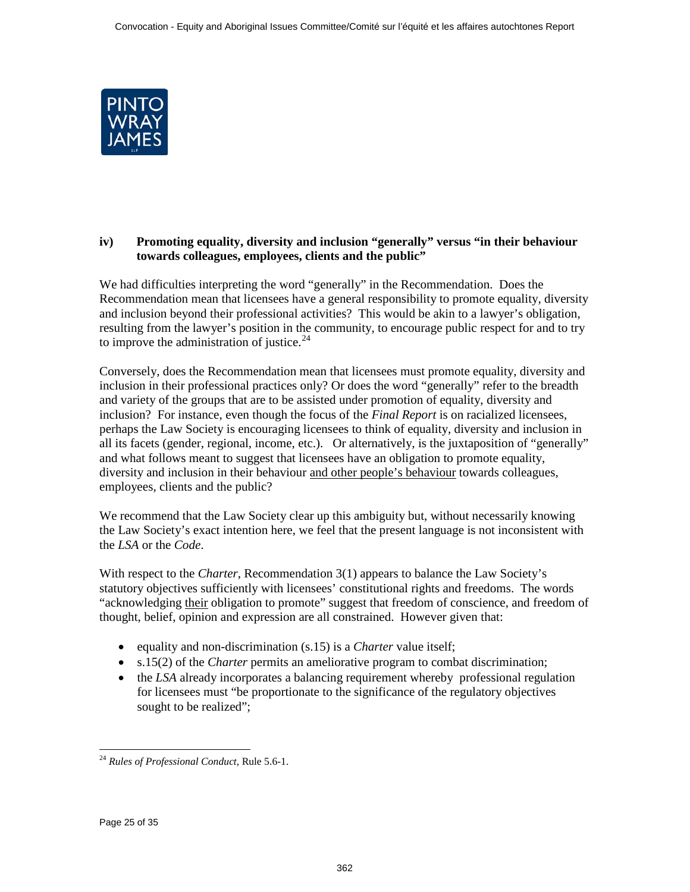

## **iv) Promoting equality, diversity and inclusion "generally" versus "in their behaviour towards colleagues, employees, clients and the public"**

We had difficulties interpreting the word "generally" in the Recommendation. Does the Recommendation mean that licensees have a general responsibility to promote equality, diversity and inclusion beyond their professional activities? This would be akin to a lawyer's obligation, resulting from the lawyer's position in the community, to encourage public respect for and to try to improve the administration of justice. $24$ 

Conversely, does the Recommendation mean that licensees must promote equality, diversity and inclusion in their professional practices only? Or does the word "generally" refer to the breadth and variety of the groups that are to be assisted under promotion of equality, diversity and inclusion? For instance, even though the focus of the *Final Report* is on racialized licensees, perhaps the Law Society is encouraging licensees to think of equality, diversity and inclusion in all its facets (gender, regional, income, etc.). Or alternatively, is the juxtaposition of "generally" and what follows meant to suggest that licensees have an obligation to promote equality, diversity and inclusion in their behaviour and other people's behaviour towards colleagues, employees, clients and the public?

We recommend that the Law Society clear up this ambiguity but, without necessarily knowing the Law Society's exact intention here, we feel that the present language is not inconsistent with the *LSA* or the *Code*.

With respect to the *Charter*, Recommendation 3(1) appears to balance the Law Society's statutory objectives sufficiently with licensees' constitutional rights and freedoms. The words "acknowledging their obligation to promote" suggest that freedom of conscience, and freedom of thought, belief, opinion and expression are all constrained. However given that:

- equality and non-discrimination (s.15) is a *Charter* value itself;
- s.15(2) of the *Charter* permits an ameliorative program to combat discrimination;
- the *LSA* already incorporates a balancing requirement whereby professional regulation for licensees must "be proportionate to the significance of the regulatory objectives sought to be realized";

 $\overline{a}$ <sup>24</sup> *Rules of Professional Conduct*, Rule 5.6-1.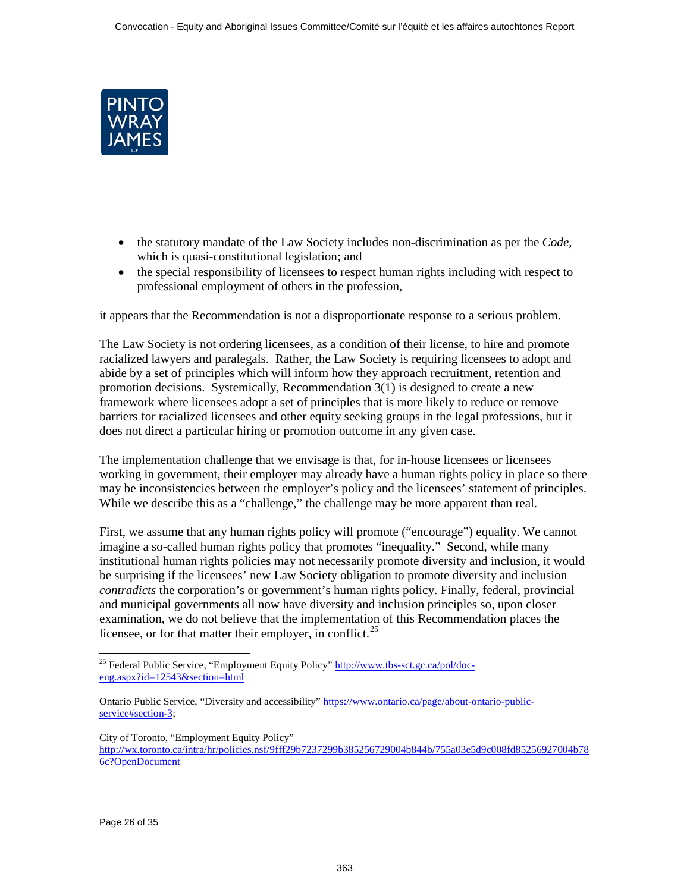

- the statutory mandate of the Law Society includes non-discrimination as per the *Code*, which is quasi-constitutional legislation; and
- the special responsibility of licensees to respect human rights including with respect to professional employment of others in the profession,

it appears that the Recommendation is not a disproportionate response to a serious problem.

The Law Society is not ordering licensees, as a condition of their license, to hire and promote racialized lawyers and paralegals. Rather, the Law Society is requiring licensees to adopt and abide by a set of principles which will inform how they approach recruitment, retention and promotion decisions. Systemically, Recommendation 3(1) is designed to create a new framework where licensees adopt a set of principles that is more likely to reduce or remove barriers for racialized licensees and other equity seeking groups in the legal professions, but it does not direct a particular hiring or promotion outcome in any given case.

The implementation challenge that we envisage is that, for in-house licensees or licensees working in government, their employer may already have a human rights policy in place so there may be inconsistencies between the employer's policy and the licensees' statement of principles. While we describe this as a "challenge," the challenge may be more apparent than real.

First, we assume that any human rights policy will promote ("encourage") equality. We cannot imagine a so-called human rights policy that promotes "inequality." Second, while many institutional human rights policies may not necessarily promote diversity and inclusion, it would be surprising if the licensees' new Law Society obligation to promote diversity and inclusion *contradicts* the corporation's or government's human rights policy. Finally, federal, provincial and municipal governments all now have diversity and inclusion principles so, upon closer examination, we do not believe that the implementation of this Recommendation places the licensee, or for that matter their employer, in conflict.<sup>25</sup>

City of Toronto, "Employment Equity Policy"

[http://wx.toronto.ca/intra/hr/policies.nsf/9fff29b7237299b385256729004b844b/755a03e5d9c008fd85256927004b78](http://wx.toronto.ca/intra/hr/policies.nsf/9fff29b7237299b385256729004b844b/755a03e5d9c008fd85256927004b786c?OpenDocument) [6c?OpenDocument](http://wx.toronto.ca/intra/hr/policies.nsf/9fff29b7237299b385256729004b844b/755a03e5d9c008fd85256927004b786c?OpenDocument)

 $\overline{a}$ <sup>25</sup> Federal Public Service, "Employment Equity Policy" [http://www.tbs-sct.gc.ca/pol/doc](http://www.tbs-sct.gc.ca/pol/doc-eng.aspx?id=12543§ion=html)[eng.aspx?id=12543&section=html](http://www.tbs-sct.gc.ca/pol/doc-eng.aspx?id=12543§ion=html)

Ontario Public Service, "Diversity and accessibility" [https://www.ontario.ca/page/about-ontario-public](https://www.ontario.ca/page/about-ontario-public-service#section-3)service#section-3;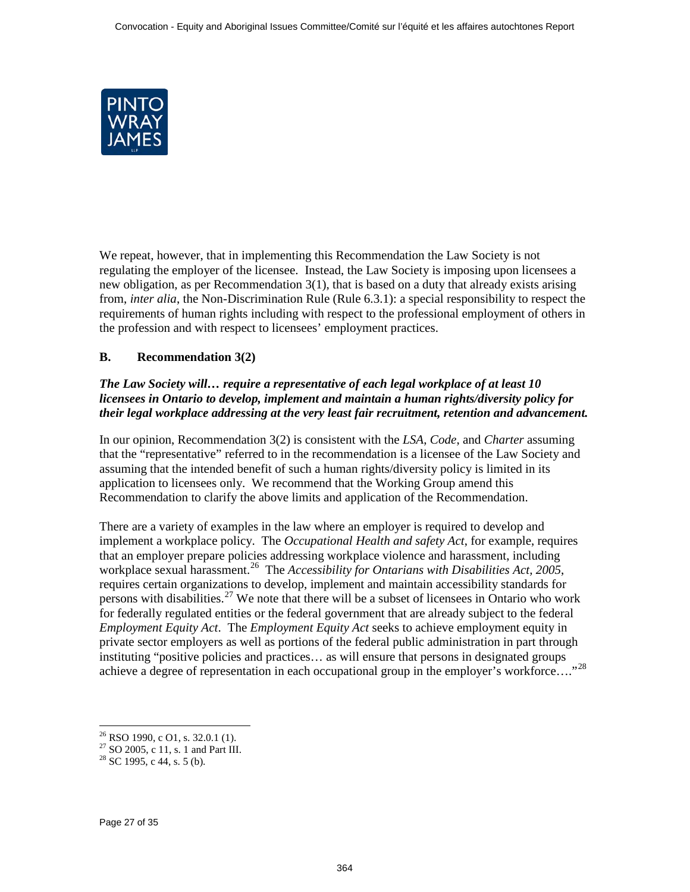<span id="page-26-0"></span>

We repeat, however, that in implementing this Recommendation the Law Society is not regulating the employer of the licensee. Instead, the Law Society is imposing upon licensees a new obligation, as per Recommendation 3(1), that is based on a duty that already exists arising from, *inter alia*, the Non-Discrimination Rule (Rule 6.3.1): a special responsibility to respect the requirements of human rights including with respect to the professional employment of others in the profession and with respect to licensees' employment practices.

# **B. Recommendation 3(2)**

## *The Law Society will… require a representative of each legal workplace of at least 10 licensees in Ontario to develop, implement and maintain a human rights/diversity policy for their legal workplace addressing at the very least fair recruitment, retention and advancement.*

In our opinion, Recommendation 3(2) is consistent with the *LSA*, *Code*, and *Charter* assuming that the "representative" referred to in the recommendation is a licensee of the Law Society and assuming that the intended benefit of such a human rights/diversity policy is limited in its application to licensees only. We recommend that the Working Group amend this Recommendation to clarify the above limits and application of the Recommendation.

There are a variety of examples in the law where an employer is required to develop and implement a workplace policy. The *Occupational Health and safety Act*, for example, requires that an employer prepare policies addressing workplace violence and harassment, including workplace sexual harassment.<sup>26</sup> The *Accessibility for Ontarians with Disabilities Act, 2005*, requires certain organizations to develop, implement and maintain accessibility standards for persons with disabilities.<sup>27</sup> We note that there will be a subset of licensees in Ontario who work for federally regulated entities or the federal government that are already subject to the federal *Employment Equity Act*. The *Employment Equity Act* seeks to achieve employment equity in private sector employers as well as portions of the federal public administration in part through instituting "positive policies and practices… as will ensure that persons in designated groups achieve a degree of representation in each occupational group in the employer's workforce…."28

 $26$  RSO 1990, c O1, s. 32.0.1 (1).

<sup>&</sup>lt;sup>27</sup> SO 2005, c 11, s. 1 and Part III.<br><sup>28</sup> SC 1995, c 44, s. 5 (b).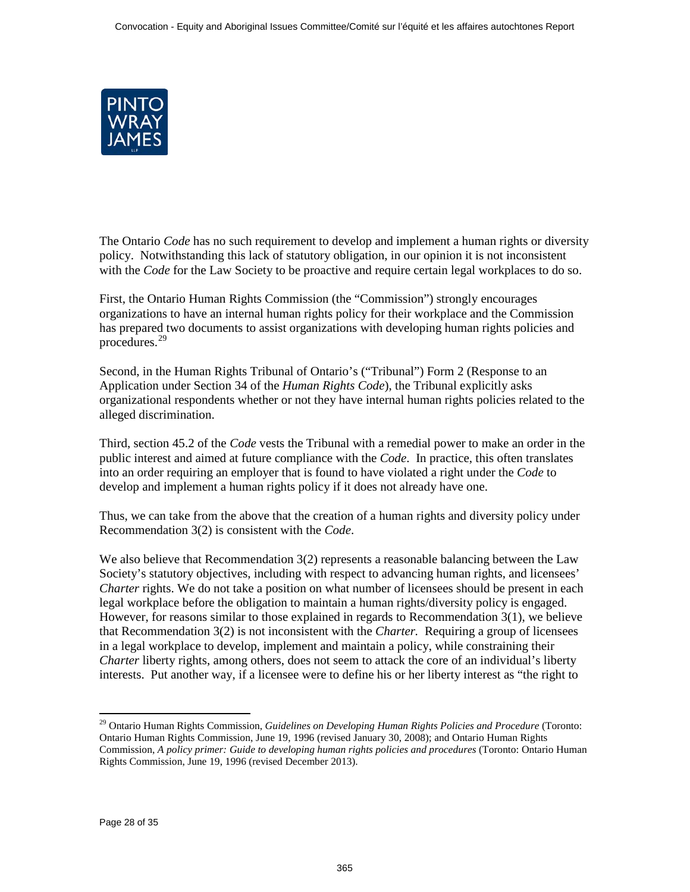

The Ontario *Code* has no such requirement to develop and implement a human rights or diversity policy. Notwithstanding this lack of statutory obligation, in our opinion it is not inconsistent with the *Code* for the Law Society to be proactive and require certain legal workplaces to do so.

First, the Ontario Human Rights Commission (the "Commission") strongly encourages organizations to have an internal human rights policy for their workplace and the Commission has prepared two documents to assist organizations with developing human rights policies and procedures.29

Second, in the Human Rights Tribunal of Ontario's ("Tribunal") Form 2 (Response to an Application under Section 34 of the *Human Rights Code*), the Tribunal explicitly asks organizational respondents whether or not they have internal human rights policies related to the alleged discrimination.

Third, section 45.2 of the *Code* vests the Tribunal with a remedial power to make an order in the public interest and aimed at future compliance with the *Code*. In practice, this often translates into an order requiring an employer that is found to have violated a right under the *Code* to develop and implement a human rights policy if it does not already have one.

Thus, we can take from the above that the creation of a human rights and diversity policy under Recommendation 3(2) is consistent with the *Code*.

We also believe that Recommendation 3(2) represents a reasonable balancing between the Law Society's statutory objectives, including with respect to advancing human rights, and licensees' *Charter* rights. We do not take a position on what number of licensees should be present in each legal workplace before the obligation to maintain a human rights/diversity policy is engaged. However, for reasons similar to those explained in regards to Recommendation 3(1), we believe that Recommendation 3(2) is not inconsistent with the *Charter.* Requiring a group of licensees in a legal workplace to develop, implement and maintain a policy, while constraining their *Charter* liberty rights, among others, does not seem to attack the core of an individual's liberty interests. Put another way, if a licensee were to define his or her liberty interest as "the right to

 $\overline{a}$ 

<sup>29</sup> Ontario Human Rights Commission, *Guidelines on Developing Human Rights Policies and Procedure* (Toronto: Ontario Human Rights Commission, June 19, 1996 (revised January 30, 2008); and Ontario Human Rights Commission, *A policy primer: Guide to developing human rights policies and procedures* (Toronto: Ontario Human Rights Commission, June 19, 1996 (revised December 2013).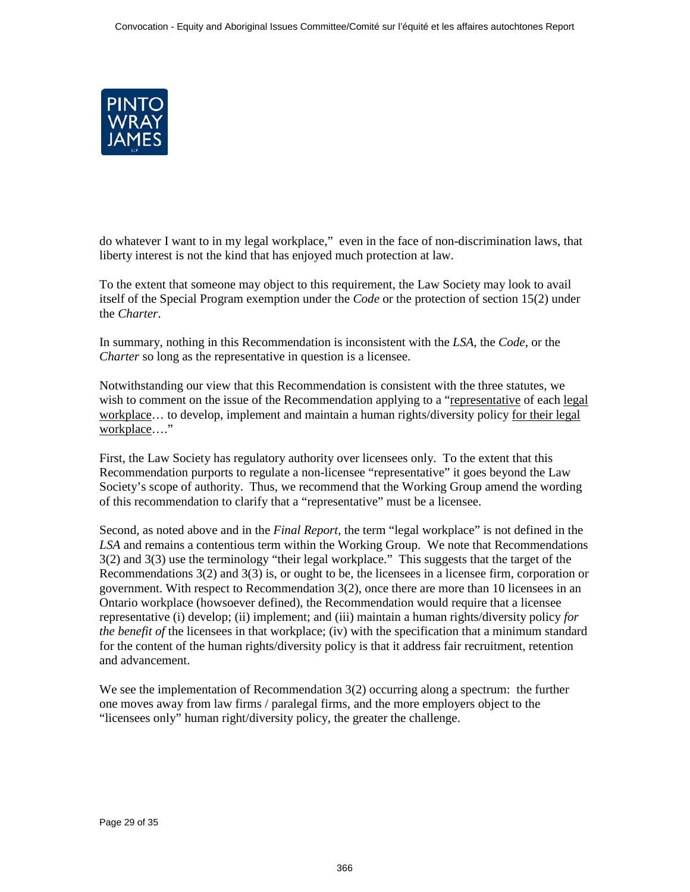

do whatever I want to in my legal workplace," even in the face of non-discrimination laws, that liberty interest is not the kind that has enjoyed much protection at law.

To the extent that someone may object to this requirement, the Law Society may look to avail itself of the Special Program exemption under the *Code* or the protection of section 15(2) under the *Charter*.

In summary, nothing in this Recommendation is inconsistent with the *LSA*, the *Code*, or the *Charter* so long as the representative in question is a licensee.

Notwithstanding our view that this Recommendation is consistent with the three statutes, we wish to comment on the issue of the Recommendation applying to a "representative of each legal" workplace… to develop, implement and maintain a human rights/diversity policy for their legal workplace…."

First, the Law Society has regulatory authority over licensees only. To the extent that this Recommendation purports to regulate a non-licensee "representative" it goes beyond the Law Society's scope of authority. Thus, we recommend that the Working Group amend the wording of this recommendation to clarify that a "representative" must be a licensee.

Second, as noted above and in the *Final Report*, the term "legal workplace" is not defined in the *LSA* and remains a contentious term within the Working Group. We note that Recommendations 3(2) and 3(3) use the terminology "their legal workplace." This suggests that the target of the Recommendations 3(2) and 3(3) is, or ought to be, the licensees in a licensee firm, corporation or government. With respect to Recommendation 3(2), once there are more than 10 licensees in an Ontario workplace (howsoever defined), the Recommendation would require that a licensee representative (i) develop; (ii) implement; and (iii) maintain a human rights/diversity policy *for the benefit of* the licensees in that workplace; (iv) with the specification that a minimum standard for the content of the human rights/diversity policy is that it address fair recruitment, retention and advancement.

We see the implementation of Recommendation 3(2) occurring along a spectrum: the further one moves away from law firms / paralegal firms, and the more employers object to the "licensees only" human right/diversity policy, the greater the challenge.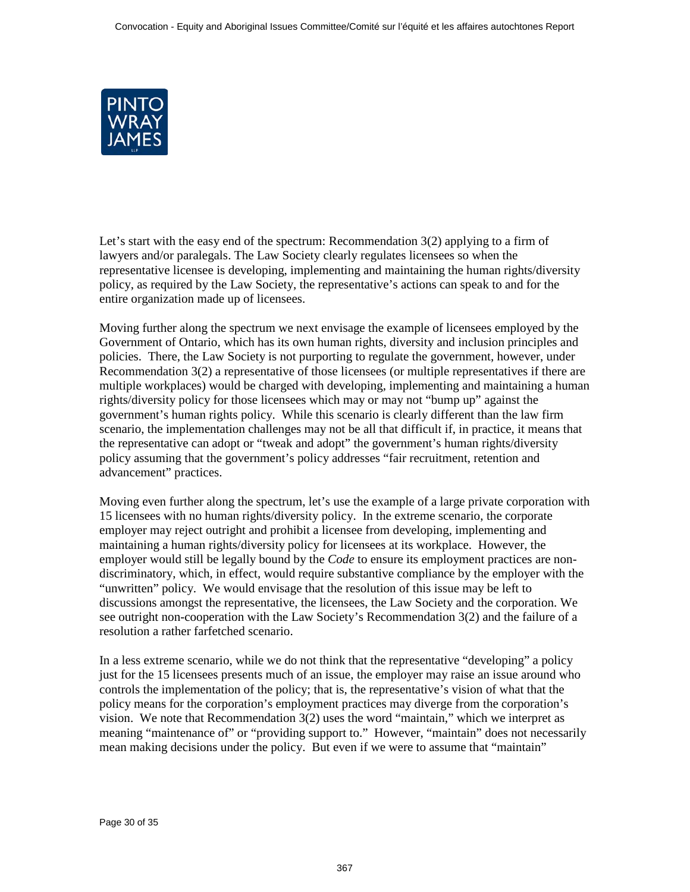

Let's start with the easy end of the spectrum: Recommendation  $3(2)$  applying to a firm of lawyers and/or paralegals. The Law Society clearly regulates licensees so when the representative licensee is developing, implementing and maintaining the human rights/diversity policy, as required by the Law Society, the representative's actions can speak to and for the entire organization made up of licensees.

Moving further along the spectrum we next envisage the example of licensees employed by the Government of Ontario, which has its own human rights, diversity and inclusion principles and policies. There, the Law Society is not purporting to regulate the government, however, under Recommendation 3(2) a representative of those licensees (or multiple representatives if there are multiple workplaces) would be charged with developing, implementing and maintaining a human rights/diversity policy for those licensees which may or may not "bump up" against the government's human rights policy. While this scenario is clearly different than the law firm scenario, the implementation challenges may not be all that difficult if, in practice, it means that the representative can adopt or "tweak and adopt" the government's human rights/diversity policy assuming that the government's policy addresses "fair recruitment, retention and advancement" practices.

Moving even further along the spectrum, let's use the example of a large private corporation with 15 licensees with no human rights/diversity policy. In the extreme scenario, the corporate employer may reject outright and prohibit a licensee from developing, implementing and maintaining a human rights/diversity policy for licensees at its workplace. However, the employer would still be legally bound by the *Code* to ensure its employment practices are nondiscriminatory, which, in effect, would require substantive compliance by the employer with the "unwritten" policy. We would envisage that the resolution of this issue may be left to discussions amongst the representative, the licensees, the Law Society and the corporation. We see outright non-cooperation with the Law Society's Recommendation 3(2) and the failure of a resolution a rather farfetched scenario.

In a less extreme scenario, while we do not think that the representative "developing" a policy just for the 15 licensees presents much of an issue, the employer may raise an issue around who controls the implementation of the policy; that is, the representative's vision of what that the policy means for the corporation's employment practices may diverge from the corporation's vision. We note that Recommendation 3(2) uses the word "maintain," which we interpret as meaning "maintenance of" or "providing support to." However, "maintain" does not necessarily mean making decisions under the policy. But even if we were to assume that "maintain"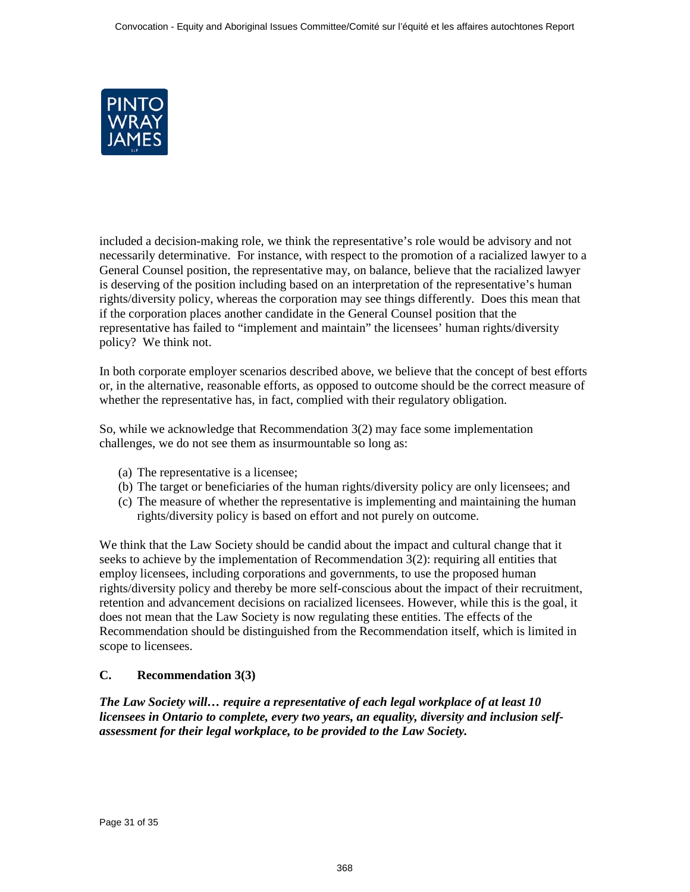<span id="page-30-0"></span>

included a decision-making role, we think the representative's role would be advisory and not necessarily determinative. For instance, with respect to the promotion of a racialized lawyer to a General Counsel position, the representative may, on balance, believe that the racialized lawyer is deserving of the position including based on an interpretation of the representative's human rights/diversity policy, whereas the corporation may see things differently. Does this mean that if the corporation places another candidate in the General Counsel position that the representative has failed to "implement and maintain" the licensees' human rights/diversity policy? We think not.

In both corporate employer scenarios described above, we believe that the concept of best efforts or, in the alternative, reasonable efforts, as opposed to outcome should be the correct measure of whether the representative has, in fact, complied with their regulatory obligation.

So, while we acknowledge that Recommendation 3(2) may face some implementation challenges, we do not see them as insurmountable so long as:

- (a) The representative is a licensee;
- (b) The target or beneficiaries of the human rights/diversity policy are only licensees; and
- (c) The measure of whether the representative is implementing and maintaining the human rights/diversity policy is based on effort and not purely on outcome.

We think that the Law Society should be candid about the impact and cultural change that it seeks to achieve by the implementation of Recommendation  $3(2)$ : requiring all entities that employ licensees, including corporations and governments, to use the proposed human rights/diversity policy and thereby be more self-conscious about the impact of their recruitment, retention and advancement decisions on racialized licensees. However, while this is the goal, it does not mean that the Law Society is now regulating these entities. The effects of the Recommendation should be distinguished from the Recommendation itself, which is limited in scope to licensees.

## **C. Recommendation 3(3)**

*The Law Society will… require a representative of each legal workplace of at least 10 licensees in Ontario to complete, every two years, an equality, diversity and inclusion selfassessment for their legal workplace, to be provided to the Law Society.*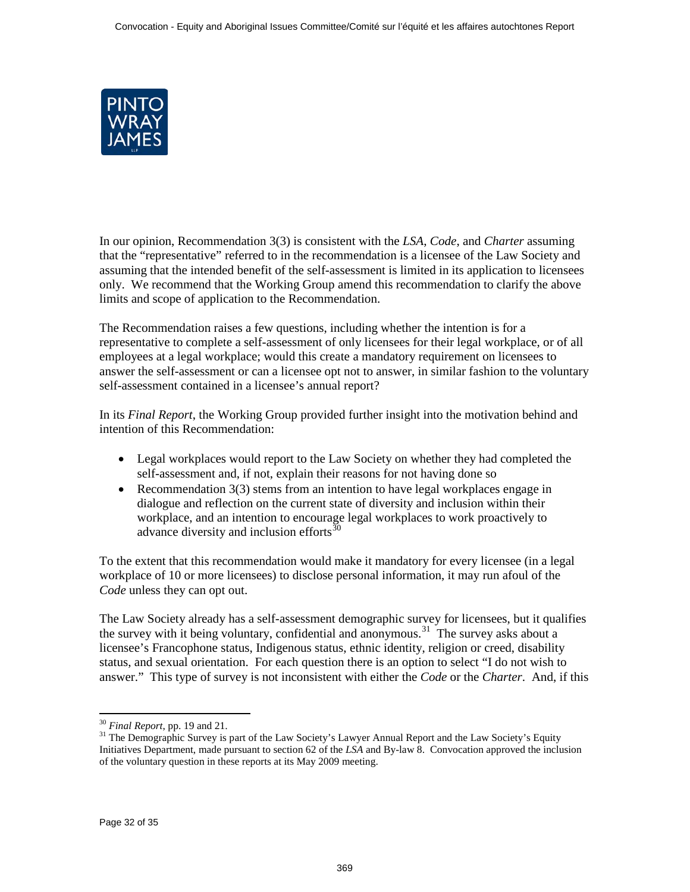

In our opinion, Recommendation 3(3) is consistent with the *LSA*, *Code*, and *Charter* assuming that the "representative" referred to in the recommendation is a licensee of the Law Society and assuming that the intended benefit of the self-assessment is limited in its application to licensees only. We recommend that the Working Group amend this recommendation to clarify the above limits and scope of application to the Recommendation.

The Recommendation raises a few questions, including whether the intention is for a representative to complete a self-assessment of only licensees for their legal workplace, or of all employees at a legal workplace; would this create a mandatory requirement on licensees to answer the self-assessment or can a licensee opt not to answer, in similar fashion to the voluntary self-assessment contained in a licensee's annual report?

In its *Final Report*, the Working Group provided further insight into the motivation behind and intention of this Recommendation:

- Legal workplaces would report to the Law Society on whether they had completed the self-assessment and, if not, explain their reasons for not having done so
- Recommendation 3(3) stems from an intention to have legal workplaces engage in dialogue and reflection on the current state of diversity and inclusion within their workplace, and an intention to encourage legal workplaces to work proactively to advance diversity and inclusion efforts<sup>30</sup>

To the extent that this recommendation would make it mandatory for every licensee (in a legal workplace of 10 or more licensees) to disclose personal information, it may run afoul of the *Code* unless they can opt out.

The Law Society already has a self-assessment demographic survey for licensees, but it qualifies the survey with it being voluntary, confidential and anonymous.<sup>31</sup> The survey asks about a licensee's Francophone status, Indigenous status, ethnic identity, religion or creed, disability status, and sexual orientation. For each question there is an option to select "I do not wish to answer." This type of survey is not inconsistent with either the *Code* or the *Charter*. And, if this

 $30$  Final Report, pp. 19 and 21.

<sup>&</sup>lt;sup>31</sup> The Demographic Survey is part of the Law Society's Lawyer Annual Report and the Law Society's Equity Initiatives Department, made pursuant to section 62 of the *LSA* and By-law 8. Convocation approved the inclusion of the voluntary question in these reports at its May 2009 meeting.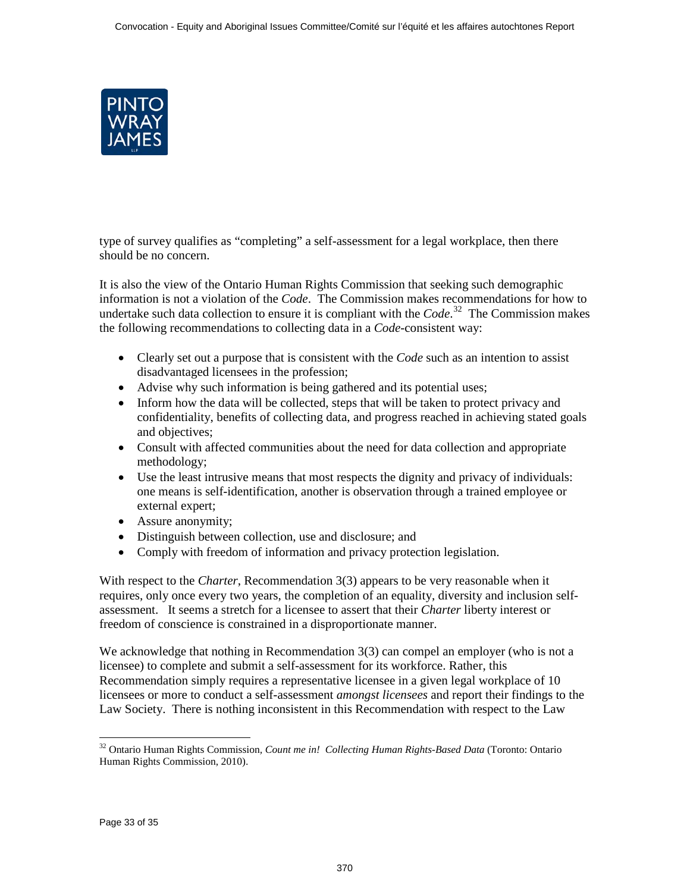

type of survey qualifies as "completing" a self-assessment for a legal workplace, then there should be no concern.

It is also the view of the Ontario Human Rights Commission that seeking such demographic information is not a violation of the *Code*. The Commission makes recommendations for how to undertake such data collection to ensure it is compliant with the *Code*. 32 The Commission makes the following recommendations to collecting data in a *Code*-consistent way:

- Clearly set out a purpose that is consistent with the *Code* such as an intention to assist disadvantaged licensees in the profession;
- Advise why such information is being gathered and its potential uses;
- Inform how the data will be collected, steps that will be taken to protect privacy and confidentiality, benefits of collecting data, and progress reached in achieving stated goals and objectives;
- Consult with affected communities about the need for data collection and appropriate methodology;
- Use the least intrusive means that most respects the dignity and privacy of individuals: one means is self-identification, another is observation through a trained employee or external expert;
- Assure anonymity;
- Distinguish between collection, use and disclosure; and
- Comply with freedom of information and privacy protection legislation.

With respect to the *Charter*, Recommendation 3(3) appears to be very reasonable when it requires, only once every two years, the completion of an equality, diversity and inclusion selfassessment. It seems a stretch for a licensee to assert that their *Charter* liberty interest or freedom of conscience is constrained in a disproportionate manner.

We acknowledge that nothing in Recommendation 3(3) can compel an employer (who is not a licensee) to complete and submit a self-assessment for its workforce. Rather, this Recommendation simply requires a representative licensee in a given legal workplace of 10 licensees or more to conduct a self-assessment *amongst licensees* and report their findings to the Law Society. There is nothing inconsistent in this Recommendation with respect to the Law

 $\ddot{\phantom{a}}$ 

<sup>32</sup> Ontario Human Rights Commission*, Count me in! Collecting Human Rights-Based Data* (Toronto: Ontario Human Rights Commission, 2010).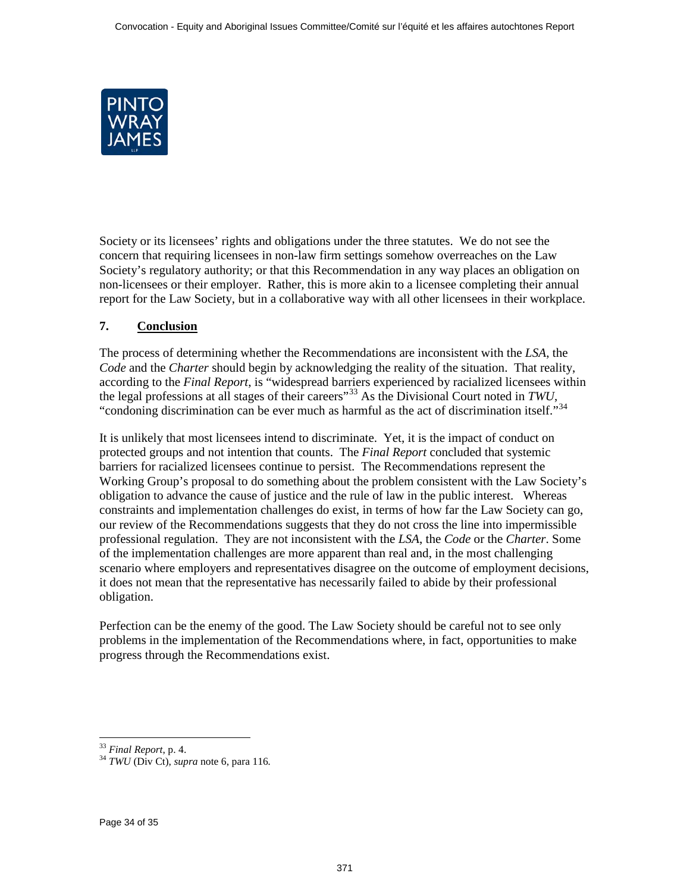<span id="page-33-0"></span>

Society or its licensees' rights and obligations under the three statutes. We do not see the concern that requiring licensees in non-law firm settings somehow overreaches on the Law Society's regulatory authority; or that this Recommendation in any way places an obligation on non-licensees or their employer. Rather, this is more akin to a licensee completing their annual report for the Law Society, but in a collaborative way with all other licensees in their workplace.

# **7. Conclusion**

The process of determining whether the Recommendations are inconsistent with the *LSA*, the *Code* and the *Charter* should begin by acknowledging the reality of the situation. That reality, according to the *Final Report*, is "widespread barriers experienced by racialized licensees within the legal professions at all stages of their careers"33 As the Divisional Court noted in *TWU*, "condoning discrimination can be ever much as harmful as the act of discrimination itself."<sup>34</sup>

It is unlikely that most licensees intend to discriminate. Yet, it is the impact of conduct on protected groups and not intention that counts. The *Final Report* concluded that systemic barriers for racialized licensees continue to persist. The Recommendations represent the Working Group's proposal to do something about the problem consistent with the Law Society's obligation to advance the cause of justice and the rule of law in the public interest. Whereas constraints and implementation challenges do exist, in terms of how far the Law Society can go, our review of the Recommendations suggests that they do not cross the line into impermissible professional regulation. They are not inconsistent with the *LSA*, the *Code* or the *Charter*. Some of the implementation challenges are more apparent than real and, in the most challenging scenario where employers and representatives disagree on the outcome of employment decisions, it does not mean that the representative has necessarily failed to abide by their professional obligation.

Perfection can be the enemy of the good. The Law Society should be careful not to see only problems in the implementation of the Recommendations where, in fact, opportunities to make progress through the Recommendations exist.

<sup>&</sup>lt;sup>33</sup> Final Report, p. 4.

<sup>&</sup>lt;sup>34</sup> *TWU* (Div Ct), *supra* note [6,](#page-11-0) para 116.